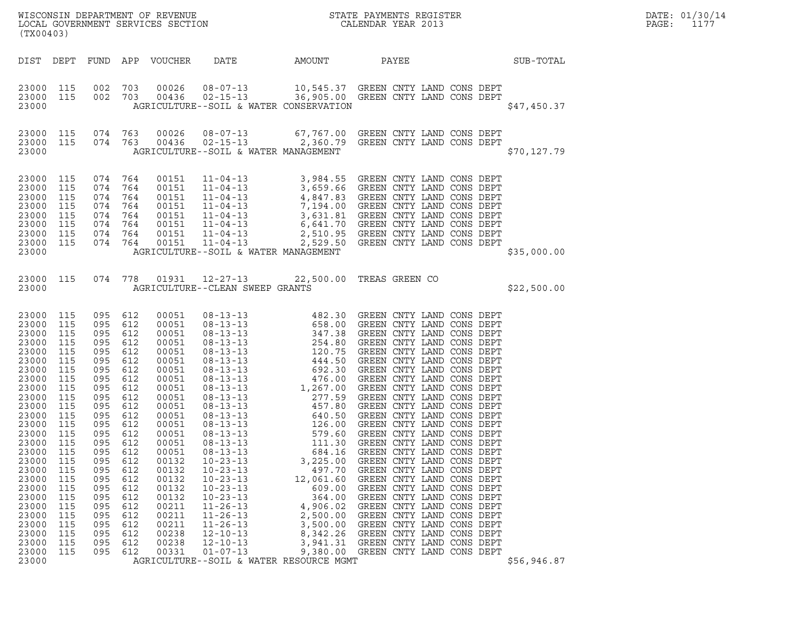| (TX00403)                                                                                                                                                                                                                                                                                                                                                                                                                                        |                                                                                                                                                                                                   |                                                                                                                                                                             |                                                                                                                                                                                                                                                 |                                                                                                                                                                                                                                                          |                                                                                                                                                                                                      | WISCONSIN DEPARTMENT OF REVENUE<br>LOCAL GOVERNMENT SERVICES SECTION<br>CALENDAR YEAR 2013                                                                                                                                                                                                                                                                                                                         |             | DATE: 01/30/14<br>PAGE:<br>1177 |
|--------------------------------------------------------------------------------------------------------------------------------------------------------------------------------------------------------------------------------------------------------------------------------------------------------------------------------------------------------------------------------------------------------------------------------------------------|---------------------------------------------------------------------------------------------------------------------------------------------------------------------------------------------------|-----------------------------------------------------------------------------------------------------------------------------------------------------------------------------|-------------------------------------------------------------------------------------------------------------------------------------------------------------------------------------------------------------------------------------------------|----------------------------------------------------------------------------------------------------------------------------------------------------------------------------------------------------------------------------------------------------------|------------------------------------------------------------------------------------------------------------------------------------------------------------------------------------------------------|--------------------------------------------------------------------------------------------------------------------------------------------------------------------------------------------------------------------------------------------------------------------------------------------------------------------------------------------------------------------------------------------------------------------|-------------|---------------------------------|
| DIST DEPT FUND APP VOUCHER                                                                                                                                                                                                                                                                                                                                                                                                                       |                                                                                                                                                                                                   |                                                                                                                                                                             |                                                                                                                                                                                                                                                 | DATE                                                                                                                                                                                                                                                     | AMOUNT                                                                                                                                                                                               | SUB-TOTAL<br>PAYEE                                                                                                                                                                                                                                                                                                                                                                                                 |             |                                 |
| 23000 115<br>23000 115<br>23000                                                                                                                                                                                                                                                                                                                                                                                                                  | 002 703<br>002 703                                                                                                                                                                                |                                                                                                                                                                             |                                                                                                                                                                                                                                                 |                                                                                                                                                                                                                                                          | AGRICULTURE--SOIL & WATER CONSERVATION                                                                                                                                                               | $\begin{array}{cccc} 00026 & 08-07-13 & 10,545.37 & \text{GREEN CNTY LAND CONS DEPT} \\ 00436 & 02-15-13 & 36,905.00 & \text{GREEN CNTY LAND CONS DEPT} \end{array}$                                                                                                                                                                                                                                               | \$47,450.37 |                                 |
| 23000 115<br>23000 115 074 763<br>23000                                                                                                                                                                                                                                                                                                                                                                                                          | 074 763                                                                                                                                                                                           |                                                                                                                                                                             | 00026<br>00436                                                                                                                                                                                                                                  | AGRICULTURE--SOIL & WATER MANAGEMENT                                                                                                                                                                                                                     |                                                                                                                                                                                                      | 08-07-13 67,767.00 GREEN CNTY LAND CONS DEPT<br>02-15-13 2,360.79 GREEN CNTY LAND CONS DEPT                                                                                                                                                                                                                                                                                                                        | \$70,127.79 |                                 |
| 23000 115<br>23000<br>115<br>23000<br>115<br>23000<br>115<br>23000<br>115<br>23000<br>115<br>23000 115<br>23000 115<br>23000                                                                                                                                                                                                                                                                                                                     | 074 764<br>074 764<br>074 764<br>074 764<br>074 764<br>074 764<br>074 764<br>074 764                                                                                                              |                                                                                                                                                                             | 00151                                                                                                                                                                                                                                           | AGRICULTURE--SOIL & WATER MANAGEMENT                                                                                                                                                                                                                     |                                                                                                                                                                                                      | 11-04-13 3,984.55 GREEN CNTY LAND CONS DEPT<br>00151 11-04-13 3,659.66 GREEN CNTY LAND CONS DEPT<br>00151 11-04-13 4,847.83 GREEN CNTY LAND CONS DEPT<br>00151 11-04-13 7,194.00 GREEN CNTY LAND CONS DEPT<br>00151 11-04-13 7,194.00 GREEN CNTY LAND CONS DEPT<br>00151 11-04-13 3,631.8                                                                                                                          | \$35,000.00 |                                 |
| 23000 115<br>23000                                                                                                                                                                                                                                                                                                                                                                                                                               | 074 778                                                                                                                                                                                           |                                                                                                                                                                             |                                                                                                                                                                                                                                                 | AGRICULTURE--CLEAN SWEEP GRANTS                                                                                                                                                                                                                          |                                                                                                                                                                                                      | 01931  12-27-13  22,500.00 TREAS GREEN CO                                                                                                                                                                                                                                                                                                                                                                          | \$22,500.00 |                                 |
| 23000 115<br>23000<br>115<br>23000<br>115<br>23000<br>115<br>23000<br>115<br>23000<br>115<br>23000<br>115<br>23000<br>115<br>23000<br>115<br>23000<br>115<br>23000<br>115<br>23000<br>115<br>23000<br>115<br>23000 115<br>23000<br>115<br>23000<br>115<br>23000<br>115<br>23000<br>115<br>23000<br>115<br>23000<br>115<br>23000<br>115<br>23000<br>115<br>23000<br>115<br>23000<br>-115<br>23000<br>115<br>23000<br>115<br>23000<br>115<br>23000 | 095<br>095 612<br>095<br>095<br>095<br>095<br>095<br>095<br>095<br>095<br>095<br>095<br>095<br>095 612<br>095<br>095<br>095<br>095<br>095<br>095<br>095<br>095<br>095<br>095<br>095<br>095<br>095 | 612<br>612<br>612<br>612<br>612<br>612<br>612<br>612<br>612<br>612<br>612<br>612<br>612<br>612<br>612<br>612<br>612<br>612<br>612<br>612<br>612<br>612<br>612<br>612<br>612 | 00051<br>00051<br>00051<br>00051<br>00051<br>00051<br>00051<br>00051<br>00051<br>00051<br>00051<br>00051<br>00051<br>00051<br>00051<br>00051<br>00132<br>00132<br>00132<br>00132<br>00132<br>00211<br>00211<br>00211<br>00238<br>00238<br>00331 | $08 - 13 - 13$<br>$08 - 13 - 13$<br>$08 - 13 - 13$<br>$10 - 23 - 13$<br>$10 - 23 - 13$<br>$10 - 23 - 13$<br>$10 - 23 - 13$<br>$10 - 23 - 13$<br>$11 - 26 - 13$<br>$11 - 26 - 13$<br>$11 - 26 - 13$<br>$12 - 10 - 13$<br>$12 - 10 - 13$<br>$01 - 07 - 13$ | 579.60<br>111.30<br>684.16<br>3,225.00<br>497.70<br>12,061.60<br>609.00<br>364.00<br>4,906.02<br>2,500.00<br>3,500.00<br>8,342.26<br>3,941.31<br>9,380.00<br>AGRICULTURE--SOIL & WATER RESOURCE MGMT | GREEN CNTY LAND CONS DEPT<br>GREEN CNTY LAND CONS DEPT<br>GREEN CNTY LAND CONS DEPT<br>GREEN CNTY LAND CONS DEPT<br>GREEN CNTY LAND CONS DEPT<br>GREEN CNTY LAND CONS DEPT<br>GREEN CNTY LAND CONS DEPT<br>GREEN CNTY LAND CONS DEPT<br>GREEN CNTY LAND CONS DEPT<br>GREEN CNTY LAND CONS DEPT<br>GREEN CNTY LAND CONS DEPT<br>GREEN CNTY LAND CONS DEPT<br>GREEN CNTY LAND CONS DEPT<br>GREEN CNTY LAND CONS DEPT | \$56,946.87 |                                 |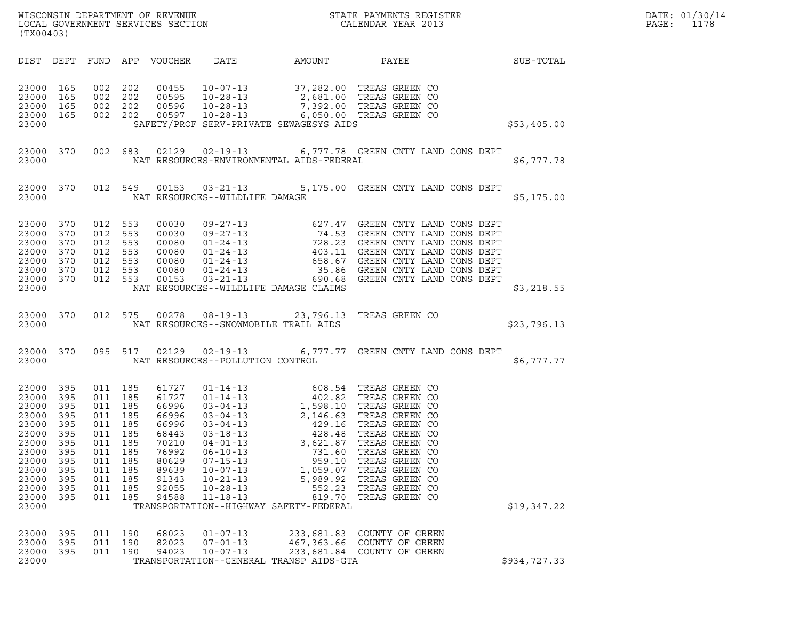| WISCONSIN DEPARTMENT OF REVENUE<br>LOCAL GOVERNMENT SERVICES SECTION | STATE PAYMENTS REGISTER<br>CALENDAR YEAR 2013 | DATE: 01/30/14<br>PAGE:<br>1178 |
|----------------------------------------------------------------------|-----------------------------------------------|---------------------------------|

| (TX00403)                                                                                                                          |                                                                           |                                                                                                                                         |     |                                                                                                                   |                                                                                                          |                                                                                                        | WISCONSIN DEPARTMENT OF REVENUE<br>LOCAL GOVERNMENT SERVICES SECTION THE STATE PAYMENTS REGISTER<br>(TYA04403)                                                                                                                                                                                                                                                                                                                                                                                                                     |              | DATE: 01/30/14<br>PAGE: 1178 |
|------------------------------------------------------------------------------------------------------------------------------------|---------------------------------------------------------------------------|-----------------------------------------------------------------------------------------------------------------------------------------|-----|-------------------------------------------------------------------------------------------------------------------|----------------------------------------------------------------------------------------------------------|--------------------------------------------------------------------------------------------------------|------------------------------------------------------------------------------------------------------------------------------------------------------------------------------------------------------------------------------------------------------------------------------------------------------------------------------------------------------------------------------------------------------------------------------------------------------------------------------------------------------------------------------------|--------------|------------------------------|
| DIST DEPT                                                                                                                          |                                                                           |                                                                                                                                         |     |                                                                                                                   |                                                                                                          |                                                                                                        | ${\tt FUND} \quad {\tt APP} \quad {\tt VOUCHER} \qquad {\tt DATE} \qquad {\tt AMOUNT} \qquad {\tt PAYEE} \qquad {\tt SUB-TOTAL}$                                                                                                                                                                                                                                                                                                                                                                                                   |              |                              |
| 23000 165<br>23000 165<br>23000 165<br>23000 165<br>23000                                                                          |                                                                           |                                                                                                                                         |     |                                                                                                                   |                                                                                                          |                                                                                                        | 002  202  00455  10-07-13  37,282.00 TREAS GREEN CO<br>002  202  00595  10-28-13  2,681.00 TREAS GREEN CO<br>002  202  00596  10-28-13  7,392.00 TREAS GREEN CO<br>002  202  00597  10-28-13  6,050.00 TREAS GREEN CO<br>$\frac{10}{200}$ $\frac{10}{20}$ $\frac{10}{20}$ $\frac{10}{20}$ $\frac{10}{20}$ $\frac{10}{20}$ $\frac{10}{20}$ $\frac{10}{20}$ $\frac{10}{20}$ $\frac{10}{20}$ $\frac{10}{20}$ $\frac{10}{20}$ $\frac{10}{20}$ $\frac{10}{20}$ $\frac{10}{20}$ $\frac{10}{20}$ $\frac{10}{20}$ $\frac{10}{20}$ $\frac{$ |              |                              |
|                                                                                                                                    |                                                                           |                                                                                                                                         |     |                                                                                                                   |                                                                                                          |                                                                                                        | 23000 370 002 683 02129 02-19-13 6,777.78 GREEN CNTY LAND CONS DEPT<br>23000 NAT RESOURCES-ENVIRONMENTAL AIDS-FEDERAL                                                                                                                                                                                                                                                                                                                                                                                                              | \$6,777.78   |                              |
|                                                                                                                                    |                                                                           |                                                                                                                                         |     |                                                                                                                   |                                                                                                          | 23000 NAT RESOURCES--WILDLIFE DAMAGE                                                                   | 23000 370 012 549 00153 03-21-13 5,175.00 GREEN CNTY LAND CONS DEPT                                                                                                                                                                                                                                                                                                                                                                                                                                                                | \$5,175.00   |                              |
| 23000 370<br>23000<br>23000<br>23000<br>23000<br>23000 370<br>23000 370<br>23000                                                   | 370<br>370<br>370<br>370                                                  |                                                                                                                                         |     |                                                                                                                   |                                                                                                          | NAT RESOURCES--WILDLIFE DAMAGE CLAIMS                                                                  | $\begin{tabular}{cccc} 012 & 553 & 00030 & 09-27-13 & 627.47 & GREEN CNTY LAND CONS DEPT \\ 012 & 553 & 00030 & 09-27-13 & 74.53 & GREEN CNTY LAND CONS DEPT \\ 012 & 553 & 00080 & 01-24-13 & 403.11 & GREEN CNTY LAND CONS DEPT \\ 012 & 553 & 00080 & 01-24-13 & 658.67 & GREEN CNTY LAND CONS DEPT \\ 012 & 553 & 00080 & 01-24-1$                                                                                                                                                                                             | \$3,218.55   |                              |
|                                                                                                                                    |                                                                           |                                                                                                                                         |     |                                                                                                                   |                                                                                                          |                                                                                                        | 23000 370 012 575 00278 08-19-13 23,796.13 TREAS GREEN CO<br>23000 NAT RESOURCES--SNOWMOBILE TRAIL AIDS 523,796.13                                                                                                                                                                                                                                                                                                                                                                                                                 |              |                              |
|                                                                                                                                    |                                                                           |                                                                                                                                         |     |                                                                                                                   |                                                                                                          |                                                                                                        | 23000 370 095 517 02129 02-19-13 6,777.77 GREEN CNTY LAND CONS DEPT<br>23000 NAT RESOURCES--POLLUTION CONTROL                                                                                                                                                                                                                                                                                                                                                                                                                      | \$6,777.77   |                              |
| 23000 395<br>23000<br>23000<br>23000<br>23000<br>23000<br>23000 395<br>23000<br>23000<br>23000<br>23000<br>23000<br>23000<br>23000 | 395<br>395<br>395<br>395<br>395<br>395<br>395<br>395<br>395<br>395<br>395 | 011 185<br>011 185<br>011 185<br>011 185<br>011 185<br>011 185<br>011 185<br>011<br>011 185<br>011 185<br>011 185<br>011 185<br>011 185 | 185 | 61727<br>61727<br>66996<br>66996<br>66996<br>68443<br>70210<br>76992<br>80629<br>89639<br>91343<br>92055<br>94588 | $06 - 10 - 13$<br>$07 - 15 - 13$<br>$10 - 07 - 13$<br>$10 - 21 - 13$<br>$10 - 28 - 13$<br>$11 - 18 - 13$ | 731.60<br>959.10<br>1,059.07<br>5,989.92<br>552.23<br>819.70<br>TRANSPORTATION--HIGHWAY SAFETY-FEDERAL | 01-14-13<br>01-14-13<br>03-04-13<br>03-04-13<br>03-04-13<br>03-04-13<br>03-04-13<br>03-18-13<br>04-01-13<br>04-01-13<br>04-01-13<br>04-01-13<br>04-01-13<br>04-01-13<br>04-01-13<br>04-01-13<br>04-01-13<br>04-01-13<br>04-01-13<br>04-01-13<br>04-01-13<br>04-01-13<br>04<br>TREAS GREEN CO<br>TREAS GREEN CO<br>TREAS GREEN CO<br>TREAS GREEN CO<br>TREAS GREEN CO<br>TREAS GREEN CO                                                                                                                                             | \$19,347.22  |                              |
| 23000<br>23000<br>23000<br>23000                                                                                                   | 395<br>395<br>395                                                         | 011 190<br>011<br>011 190                                                                                                               | 190 | 68023<br>82023<br>94023                                                                                           | $01 - 07 - 13$<br>$07 - 01 - 13$<br>$10 - 07 - 13$                                                       | 233,681.83<br>467, 363.66<br>233,681.84<br>TRANSPORTATION--GENERAL TRANSP AIDS-GTA                     | COUNTY OF GREEN<br>COUNTY OF GREEN<br>COUNTY OF GREEN                                                                                                                                                                                                                                                                                                                                                                                                                                                                              | \$934,727.33 |                              |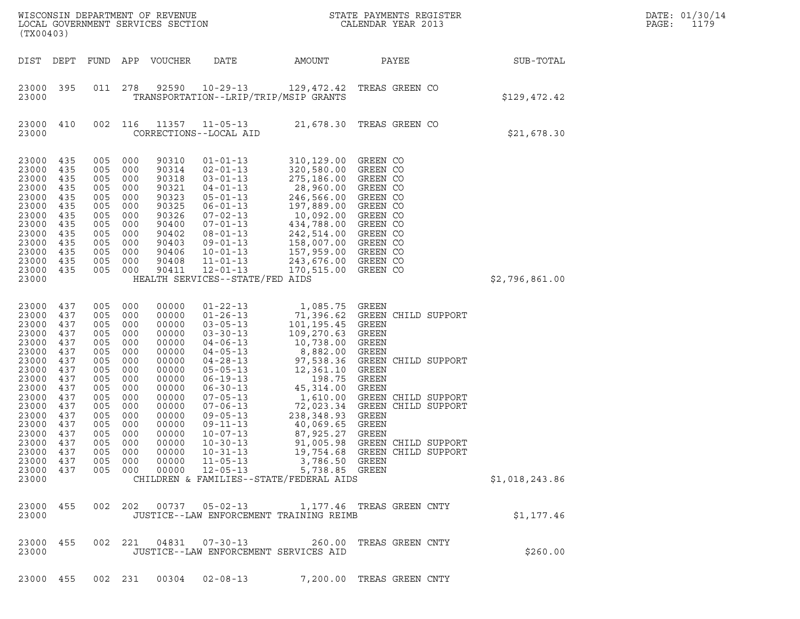| (TX00403)                                                                                                                                                                            |                                                                                                                            |                                                                                                                                   |                                                                                                                                   | WISCONSIN DEPARTMENT OF REVENUE<br>LOCAL GOVERNMENT SERVICES SECTION                                                                                                    |                                                                                                                                                                                                                                                                                                                                                    | $\mathbf N$                                                                                                                                                                                                                                                                                   | STATE PAYMENTS REGISTER<br>CALENDAR YEAR 2013                                                                                                                                                                              |                | DATE: 01/30/14<br>PAGE:<br>1179 |  |
|--------------------------------------------------------------------------------------------------------------------------------------------------------------------------------------|----------------------------------------------------------------------------------------------------------------------------|-----------------------------------------------------------------------------------------------------------------------------------|-----------------------------------------------------------------------------------------------------------------------------------|-------------------------------------------------------------------------------------------------------------------------------------------------------------------------|----------------------------------------------------------------------------------------------------------------------------------------------------------------------------------------------------------------------------------------------------------------------------------------------------------------------------------------------------|-----------------------------------------------------------------------------------------------------------------------------------------------------------------------------------------------------------------------------------------------------------------------------------------------|----------------------------------------------------------------------------------------------------------------------------------------------------------------------------------------------------------------------------|----------------|---------------------------------|--|
| DIST DEPT                                                                                                                                                                            |                                                                                                                            | FUND                                                                                                                              | APP                                                                                                                               | VOUCHER                                                                                                                                                                 | DATE                                                                                                                                                                                                                                                                                                                                               | AMOUNT                                                                                                                                                                                                                                                                                        | PAYEE                                                                                                                                                                                                                      | SUB-TOTAL      |                                 |  |
| 23000 395<br>23000                                                                                                                                                                   |                                                                                                                            | 011                                                                                                                               | 278                                                                                                                               | 92590                                                                                                                                                                   | $10 - 29 - 13$                                                                                                                                                                                                                                                                                                                                     | 129,472.42<br>TRANSPORTATION--LRIP/TRIP/MSIP GRANTS                                                                                                                                                                                                                                           | TREAS GREEN CO                                                                                                                                                                                                             | \$129,472.42   |                                 |  |
| 23000<br>23000                                                                                                                                                                       | 410                                                                                                                        | 002                                                                                                                               | 116                                                                                                                               | 11357                                                                                                                                                                   | $11 - 05 - 13$<br>CORRECTIONS--LOCAL AID                                                                                                                                                                                                                                                                                                           |                                                                                                                                                                                                                                                                                               | 21,678.30 TREAS GREEN CO                                                                                                                                                                                                   | \$21,678.30    |                                 |  |
| 23000<br>23000<br>23000<br>23000<br>23000<br>23000<br>23000<br>23000<br>23000<br>23000<br>23000<br>23000<br>23000 435<br>23000                                                       | 435<br>435<br>435<br>435<br>435<br>435<br>435<br>435<br>435<br>435<br>435<br>435                                           | 005<br>005<br>005<br>005<br>005<br>005<br>005<br>005<br>005<br>005<br>005<br>005<br>005                                           | 000<br>000<br>000<br>000<br>000<br>000<br>000<br>000<br>000<br>000<br>000<br>000<br>000                                           | 90310<br>90314<br>90318<br>90321<br>90323<br>90325<br>90326<br>90400<br>90402<br>90403<br>90406<br>90408<br>90411                                                       | $01 - 01 - 13$<br>$02 - 01 - 13$<br>$03 - 01 - 13$<br>$04 - 01 - 13$<br>$05 - 01 - 13$<br>$06 - 01 - 13$<br>$07 - 02 - 13$<br>$07 - 01 - 13$<br>$08 - 01 - 13$<br>$09 - 01 - 13$<br>$10 - 01 - 13$<br>$11 - 01 - 13$<br>$12 - 01 - 13$<br>HEALTH SERVICES--STATE/FED AIDS                                                                          | 310,129.00 GREEN CO<br>320,580.00 GREEN CO<br>275,186.00 GREEN CO<br>28,960.00<br>246,566.00<br>197,889.00<br>10,092.00<br>434,788.00<br>242,514.00<br>158,007.00<br>157,959.00<br>243,676.00<br>170,515.00                                                                                   | GREEN CO<br>GREEN CO<br>GREEN CO<br>GREEN CO<br>GREEN CO<br>GREEN CO<br>GREEN CO<br>GREEN CO<br>GREEN CO<br>GREEN CO                                                                                                       | \$2,796,861.00 |                                 |  |
| 23000<br>23000<br>23000<br>23000<br>23000<br>23000<br>23000<br>23000<br>23000<br>23000<br>23000<br>23000<br>23000<br>23000<br>23000<br>23000<br>23000<br>23000<br>23000 437<br>23000 | 437<br>437<br>437<br>437<br>437<br>437<br>437<br>437<br>437<br>437<br>437<br>437<br>437<br>437<br>437<br>437<br>437<br>437 | 005<br>005<br>005<br>005<br>005<br>005<br>005<br>005<br>005<br>005<br>005<br>005<br>005<br>005<br>005<br>005<br>005<br>005<br>005 | 000<br>000<br>000<br>000<br>000<br>000<br>000<br>000<br>000<br>000<br>000<br>000<br>000<br>000<br>000<br>000<br>000<br>000<br>000 | 00000<br>00000<br>00000<br>00000<br>00000<br>00000<br>00000<br>00000<br>00000<br>00000<br>00000<br>00000<br>00000<br>00000<br>00000<br>00000<br>00000<br>00000<br>00000 | $01 - 22 - 13$<br>$01 - 26 - 13$<br>$03 - 05 - 13$<br>$03 - 30 - 13$<br>$04 - 06 - 13$<br>$04 - 05 - 13$<br>$04 - 28 - 13$<br>$05 - 05 - 13$<br>$06 - 19 - 13$<br>$06 - 30 - 13$<br>$07 - 05 - 13$<br>$07 - 06 - 13$<br>$09 - 05 - 13$<br>$09 - 11 - 13$<br>$10 - 07 - 13$<br>$10 - 30 - 13$<br>$10 - 31 - 13$<br>$11 - 05 - 13$<br>$12 - 05 - 13$ | 1,085.75 GREEN<br>101,195.45<br>109,270.63<br>10,738.00 GREEN<br>8,882.00<br>97,538.36<br>12,361.10<br>198.75<br>45,314.00<br>1,610.00<br>72,023.34<br>238, 348.93 GREEN<br>40,069.65 GREEN<br>87,925.27 GREEN<br>3,786.50 GREEN<br>5,738.85 GREEN<br>CHILDREN & FAMILIES--STATE/FEDERAL AIDS | 71,396.62 GREEN CHILD SUPPORT<br>GREEN<br>GREEN<br>GREEN<br>GREEN CHILD SUPPORT<br>GREEN<br>GREEN<br>GREEN<br>GREEN CHILD SUPPORT<br>GREEN CHILD SUPPORT<br>91,005.98 GREEN CHILD SUPPORT<br>19,754.68 GREEN CHILD SUPPORT | \$1,018,243.86 |                                 |  |
| 23000 455<br>23000                                                                                                                                                                   |                                                                                                                            |                                                                                                                                   | 002 202                                                                                                                           |                                                                                                                                                                         |                                                                                                                                                                                                                                                                                                                                                    | JUSTICE--LAW ENFORCEMENT TRAINING REIMB                                                                                                                                                                                                                                                       | 1,177.46 TREAS GREEN CNTY                                                                                                                                                                                                  | \$1,177.46     |                                 |  |
| 23000 455<br>23000                                                                                                                                                                   |                                                                                                                            |                                                                                                                                   |                                                                                                                                   |                                                                                                                                                                         | 002 221 04831 07-30-13                                                                                                                                                                                                                                                                                                                             | 260.00<br>JUSTICE--LAW ENFORCEMENT SERVICES AID                                                                                                                                                                                                                                               | TREAS GREEN CNTY                                                                                                                                                                                                           | \$260.00       |                                 |  |
| 23000 455                                                                                                                                                                            |                                                                                                                            | 002 231                                                                                                                           |                                                                                                                                   | 00304                                                                                                                                                                   | $02 - 08 - 13$                                                                                                                                                                                                                                                                                                                                     |                                                                                                                                                                                                                                                                                               | 7,200.00 TREAS GREEN CNTY                                                                                                                                                                                                  |                |                                 |  |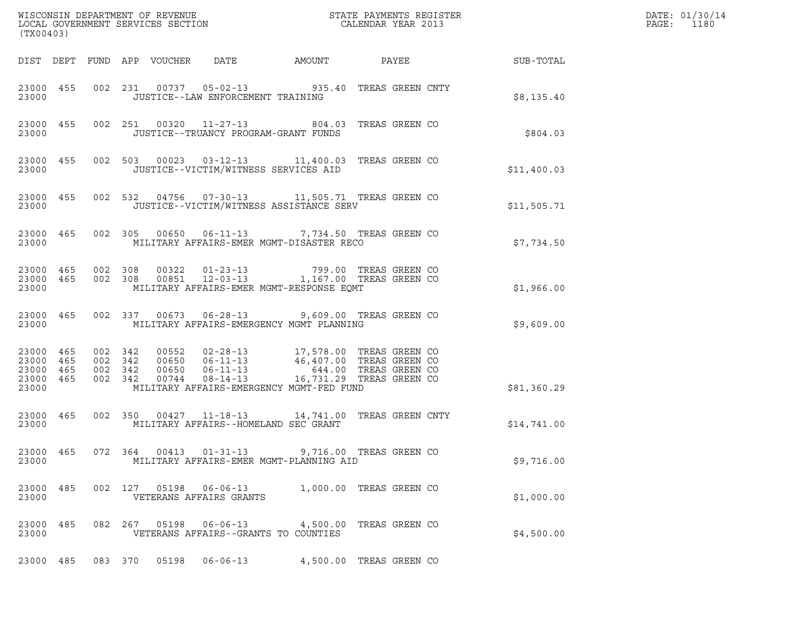| (TX00403)                                        |                                          |         |                                 |                                   | WISCONSIN DEPARTMENT OF REVENUE ${\small \begin{array}{ll} \texttt{MISCONS} \texttt{IN} \texttt{DEPARTMENT} \texttt{S} \texttt{REVIEW} \\ \texttt{LOCAL} \texttt{GOVERNMENT} \texttt{SERVICES} \texttt{SECTION} \end{array}}$      |  |                 | DATE: 01/30/14<br>PAGE:<br>1180 |
|--------------------------------------------------|------------------------------------------|---------|---------------------------------|-----------------------------------|------------------------------------------------------------------------------------------------------------------------------------------------------------------------------------------------------------------------------------|--|-----------------|---------------------------------|
|                                                  |                                          |         | DIST DEPT FUND APP VOUCHER DATE |                                   | AMOUNT                                                                                                                                                                                                                             |  | PAYEE SUB-TOTAL |                                 |
| 23000 455<br>23000                               |                                          |         |                                 | JUSTICE--LAW ENFORCEMENT TRAINING | 002 231 00737 05-02-13 935.40 TREAS GREEN CNTY                                                                                                                                                                                     |  | \$8,135.40      |                                 |
| 23000                                            |                                          |         |                                 |                                   | 23000 455 002 251 00320 11-27-13 804.03 TREAS GREEN CO<br>JUSTICE--TRUANCY PROGRAM-GRANT FUNDS                                                                                                                                     |  | \$804.03        |                                 |
| 23000                                            |                                          |         |                                 |                                   | 23000 455 002 503 00023 03-12-13 11,400.03 TREAS GREEN CO<br>JUSTICE--VICTIM/WITNESS SERVICES AID                                                                                                                                  |  | \$11,400.03     |                                 |
| 23000 455<br>23000                               |                                          |         |                                 |                                   | 002 532 04756 07-30-13 11,505.71 TREAS GREEN CO<br>JUSTICE--VICTIM/WITNESS ASSISTANCE SERV                                                                                                                                         |  | \$11,505.71     |                                 |
| 23000                                            |                                          |         |                                 |                                   | 23000 465 002 305 00650 06-11-13 7,734.50 TREAS GREEN CO<br>MILITARY AFFAIRS-EMER MGMT-DISASTER RECO                                                                                                                               |  | \$7,734.50      |                                 |
| 23000                                            |                                          |         |                                 |                                   | $\begin{array}{cccccccc} 23000& 465& 002& 308& 00322& 01-23-13& 799.00 & \text{TREAS GREEN CO} \\ 23000& 465& 002& 308& 00851& 12-03-13& 1,167.00 & \text{TREAS GREEN CO} \end{array}$<br>MILITARY AFFAIRS-EMER MGMT-RESPONSE EQMT |  | \$1,966.00      |                                 |
| 23000 465<br>23000                               |                                          |         |                                 |                                   | 002 337 00673 06-28-13 9,609.00 TREAS GREEN CO<br>MILITARY AFFAIRS-EMERGENCY MGMT PLANNING                                                                                                                                         |  | \$9,609.00      |                                 |
| 23000 465<br>23000 465<br>23000 465<br>23000 465 | 002 342<br>002 342<br>002 342<br>002 342 |         |                                 |                                   | $\begin{tabular}{cccc} 00552 & 02-28-13 & 17,578.00 TREAS GREEN CO \\ 00650 & 06-11-13 & 46,407.00 TREAS GREEN CO \\ 00650 & 06-11-13 & 644.00 TREAS GREEN CO \\ 00744 & 08-14-13 & 16,731.29 TREAS GREEN CO \end{tabular}$        |  |                 |                                 |
| 23000                                            |                                          |         |                                 |                                   | MILITARY AFFAIRS-EMERGENCY MGMT-FED FUND                                                                                                                                                                                           |  | \$81,360.29     |                                 |
| 23000 465<br>23000                               |                                          |         |                                 |                                   | 002 350 00427 11-18-13 14,741.00 TREAS GREEN CNTY<br>MILITARY AFFAIRS--HOMELAND SEC GRANT                                                                                                                                          |  | \$14,741.00     |                                 |
| 23000 465<br>23000                               |                                          |         | 072 364 00413                   | $01 - 31 - 13$                    | 9,716.00 TREAS GREEN CO<br>MILITARY AFFAIRS-EMER MGMT-PLANNING AID                                                                                                                                                                 |  | \$9,716.00      |                                 |
| 23000 485<br>23000                               |                                          |         | 002 127 05198                   | VETERANS AFFAIRS GRANTS           | 06-06-13 1,000.00 TREAS GREEN CO                                                                                                                                                                                                   |  | \$1,000.00      |                                 |
| 23000 485<br>23000                               |                                          |         | 082 267 05198                   | $06 - 06 - 13$                    | 4,500.00 TREAS GREEN CO<br>VETERANS AFFAIRS--GRANTS TO COUNTIES                                                                                                                                                                    |  | \$4,500.00      |                                 |
| 23000 485                                        |                                          | 083 370 | 05198                           | $06 - 06 - 13$                    | 4,500.00 TREAS GREEN CO                                                                                                                                                                                                            |  |                 |                                 |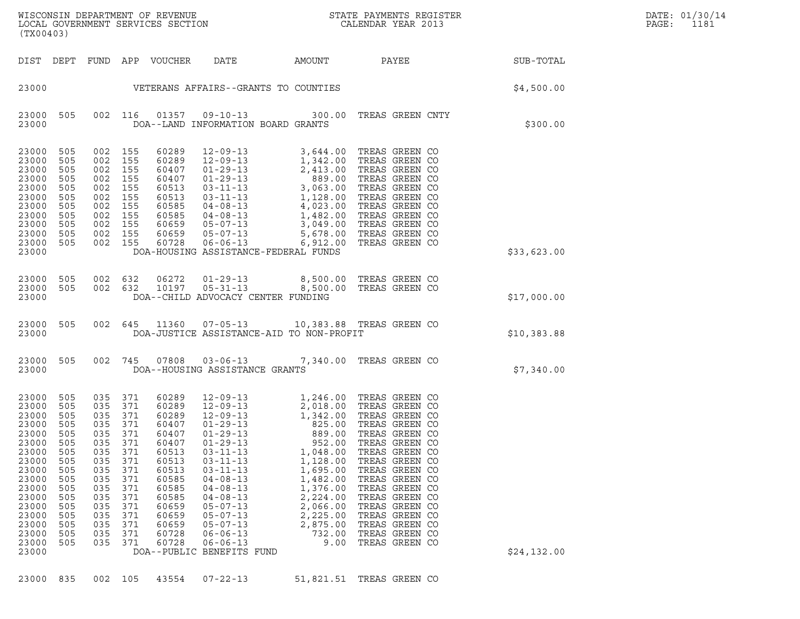| (TX00403)                                                                                                                                                      |                                                                                                                     |                                                                                                                  |                                                                                                                  |                                                                                                                                                       |                                                                                                                                                                                                                                                                                                                                                           |                                                                                                                                                | ${\tt WISCONSIN} \begin{tabular}{l} DEPARTMENT OF REVIEW \\ LOCAL BONERNMENT SERVICES SECTION \\ \end{tabular}$                                                                                                                                                                                                |             | DATE: 01/30/14<br>PAGE:<br>1181 |
|----------------------------------------------------------------------------------------------------------------------------------------------------------------|---------------------------------------------------------------------------------------------------------------------|------------------------------------------------------------------------------------------------------------------|------------------------------------------------------------------------------------------------------------------|-------------------------------------------------------------------------------------------------------------------------------------------------------|-----------------------------------------------------------------------------------------------------------------------------------------------------------------------------------------------------------------------------------------------------------------------------------------------------------------------------------------------------------|------------------------------------------------------------------------------------------------------------------------------------------------|----------------------------------------------------------------------------------------------------------------------------------------------------------------------------------------------------------------------------------------------------------------------------------------------------------------|-------------|---------------------------------|
| DIST DEPT                                                                                                                                                      |                                                                                                                     |                                                                                                                  |                                                                                                                  | FUND APP VOUCHER                                                                                                                                      | DATE                                                                                                                                                                                                                                                                                                                                                      |                                                                                                                                                | AMOUNT PAYEE SUB-TOTAL                                                                                                                                                                                                                                                                                         |             |                                 |
| 23000                                                                                                                                                          |                                                                                                                     |                                                                                                                  |                                                                                                                  |                                                                                                                                                       | VETERANS AFFAIRS--GRANTS TO COUNTIES                                                                                                                                                                                                                                                                                                                      |                                                                                                                                                |                                                                                                                                                                                                                                                                                                                | \$4,500.00  |                                 |
| 23000 505<br>23000                                                                                                                                             |                                                                                                                     |                                                                                                                  | 002 116                                                                                                          | 01357                                                                                                                                                 | DOA--LAND INFORMATION BOARD GRANTS                                                                                                                                                                                                                                                                                                                        |                                                                                                                                                | 09-10-13 300.00 TREAS GREEN CNTY                                                                                                                                                                                                                                                                               | \$300.00    |                                 |
| 23000<br>23000<br>23000<br>23000<br>23000<br>23000<br>23000<br>23000<br>23000<br>23000<br>23000<br>23000                                                       | 505<br>505<br>505<br>505<br>505<br>505<br>505<br>505<br>505<br>505<br>505                                           | 002 155<br>002 155<br>002 155<br>002 155<br>002 155<br>002 155<br>002 155<br>002 155<br>002 155<br>002 155       | 002 155                                                                                                          | 60289<br>60289<br>60407<br>60407<br>60513<br>60513<br>60585<br>60585<br>60659<br>60659<br>60728                                                       | 12-09-13<br>1,342.00<br>01-29-13<br>01-29-13<br>2,413.00<br>01-29-13<br>889.00<br>03-11-13<br>3,063.00<br>03-11-13<br>1,128.00<br>04-08-13<br>4,023.00<br>05-07-13<br>3,049.00<br>05-07-13<br>5,678.00<br>06-06-13<br>5,678.00<br>06-06-13<br>5,678.00<br>06-06-13<br>5,67<br>DOA-HOUSING ASSISTANCE-FEDERAL FUNDS                                        |                                                                                                                                                | TREAS GREEN CO<br>TREAS GREEN CO<br>TREAS GREEN CO<br>TREAS GREEN CO<br>TREAS GREEN CO<br>TREAS GREEN CO<br>TREAS GREEN CO<br>TREAS GREEN CO<br>TREAS GREEN CO<br>TREAS GREEN CO<br>TREAS GREEN CO                                                                                                             | \$33,623.00 |                                 |
| 23000<br>23000<br>23000                                                                                                                                        | 505<br>505                                                                                                          | 002<br>002 632                                                                                                   | 632                                                                                                              | 06272<br>10197                                                                                                                                        | 01-29-13 8,500.00 TREAS GREEN CO<br>DOA--CHILD ADVOCACY CENTER FUNDING                                                                                                                                                                                                                                                                                    |                                                                                                                                                | 05-31-13 8,500.00 TREAS GREEN CO                                                                                                                                                                                                                                                                               | \$17,000.00 |                                 |
| 23000 505<br>23000                                                                                                                                             |                                                                                                                     |                                                                                                                  |                                                                                                                  |                                                                                                                                                       | 002 645 11360 07-05-13 10,383.88 TREAS GREEN CO<br>DOA-JUSTICE ASSISTANCE-AID TO NON-PROFIT                                                                                                                                                                                                                                                               |                                                                                                                                                |                                                                                                                                                                                                                                                                                                                | \$10,383.88 |                                 |
| 23000 505<br>23000                                                                                                                                             |                                                                                                                     |                                                                                                                  | 002 745                                                                                                          |                                                                                                                                                       | 07808  03-06-13<br>DOA--HOUSING ASSISTANCE GRANTS                                                                                                                                                                                                                                                                                                         |                                                                                                                                                | 7,340.00 TREAS GREEN CO                                                                                                                                                                                                                                                                                        | \$7,340.00  |                                 |
| 23000<br>23000<br>23000<br>23000<br>23000<br>23000<br>23000<br>23000<br>23000<br>23000<br>23000<br>23000<br>23000<br>23000<br>23000<br>23000<br>23000<br>23000 | 505<br>505<br>505<br>505<br>505<br>505<br>505<br>505<br>505<br>505<br>505<br>505<br>505<br>505<br>505<br>505<br>505 | 035 371<br>035<br>035<br>035<br>035<br>035<br>035<br>035<br>035<br>035<br>035<br>035<br>035<br>035<br>035<br>035 | 371<br>371<br>371<br>035 371<br>371<br>371<br>371<br>371<br>371<br>371<br>371<br>371<br>371<br>371<br>371<br>371 | 60289<br>60289<br>60289<br>60407<br>60407<br>60407<br>60513<br>60513<br>60513<br>60585<br>60585<br>60585<br>60659<br>60659<br>60659<br>60728<br>60728 | $12 - 09 - 13$ 1, 246.00<br>12-09-13<br>12-09-13<br>12-09-13<br>01-29-13<br>825.00<br>$01 - 29 - 13$<br>$01 - 29 - 13$<br>$03 - 11 - 13$<br>$03 - 11 - 13$<br>$03 - 11 - 13$<br>$04 - 08 - 13$<br>$04 - 08 - 13$<br>$04 - 08 - 13$<br>$05 - 07 - 13$<br>$05 - 07 - 13$<br>$05 - 07 - 13$<br>$06 - 06 - 13$<br>$06 - 06 - 13$<br>DOA--PUBLIC BENEFITS FUND | 889.00<br>952.00<br>1,048.00<br>1,128.00<br>1,695.00<br>1,482.00<br>1,376.00<br>2,224.00<br>2,066.00<br>2,225.00<br>2,875.00<br>732.00<br>9.00 | TREAS GREEN CO<br>TREAS GREEN CO<br>TREAS GREEN CO<br>TREAS GREEN CO<br>TREAS GREEN CO<br>TREAS GREEN CO<br>TREAS GREEN CO<br>TREAS GREEN CO<br>TREAS GREEN CO<br>TREAS GREEN CO<br>TREAS GREEN CO<br>TREAS GREEN CO<br>TREAS GREEN CO<br>TREAS GREEN CO<br>TREAS GREEN CO<br>TREAS GREEN CO<br>TREAS GREEN CO | \$24,132.00 |                                 |

23000 835 002 105 43554 07-22-13 51,821.51 TREAS GREEN CO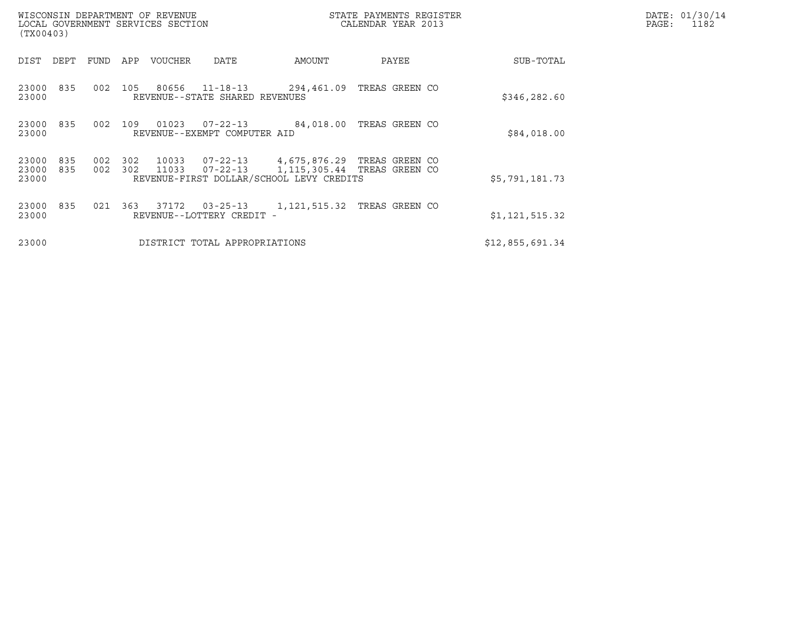| (TX00403)               |            |            |            | WISCONSIN DEPARTMENT OF REVENUE<br>LOCAL GOVERNMENT SERVICES SECTION |                                                  |                                                                                                          | STATE PAYMENTS REGISTER<br>CALENDAR YEAR 2013 |  | DATE: 01/30/14<br>PAGE:<br>1182 |  |
|-------------------------|------------|------------|------------|----------------------------------------------------------------------|--------------------------------------------------|----------------------------------------------------------------------------------------------------------|-----------------------------------------------|--|---------------------------------|--|
| DIST                    | DEPT       | FUND       | APP        | VOUCHER                                                              | DATE                                             | AMOUNT                                                                                                   | PAYEE                                         |  | SUB-TOTAL                       |  |
| 23000<br>23000          | 835        | 002        | 105        | 80656                                                                | $11 - 18 - 13$<br>REVENUE--STATE SHARED REVENUES | 294,461.09                                                                                               | TREAS GREEN CO                                |  | \$346,282.60                    |  |
| 23000<br>23000          | 835        | 002        | 109        | 01023                                                                | $07 - 22 - 13$<br>REVENUE--EXEMPT COMPUTER AID   | 84,018.00                                                                                                | TREAS GREEN CO                                |  | \$84,018.00                     |  |
| 23000<br>23000<br>23000 | 835<br>835 | 002<br>002 | 302<br>302 | 10033<br>11033                                                       | $07 - 22 - 13$<br>07-22-13                       | 4,675,876.29 TREAS GREEN CO<br>1, 115, 305.44 TREAS GREEN CO<br>REVENUE-FIRST DOLLAR/SCHOOL LEVY CREDITS |                                               |  | \$5,791,181.73                  |  |
| 23000<br>23000          | 835        | 021        | 363        | 37172                                                                | $03 - 25 - 13$<br>REVENUE--LOTTERY CREDIT -      | 1, 121, 515.32 TREAS GREEN CO                                                                            |                                               |  | \$1,121,515.32                  |  |
| 23000                   |            |            |            |                                                                      | DISTRICT TOTAL APPROPRIATIONS                    |                                                                                                          |                                               |  | \$12,855,691.34                 |  |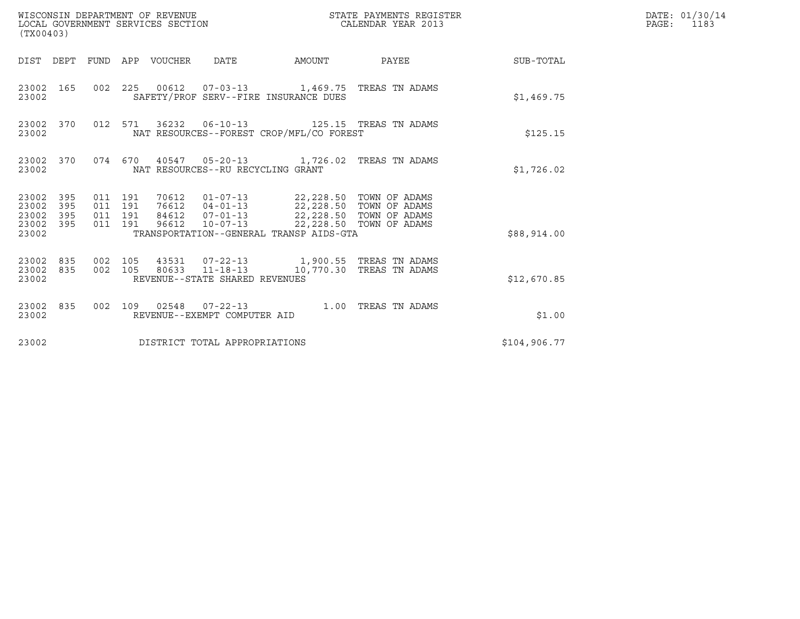| (TX00403)                                                       | WISCONSIN DEPARTMENT OF REVENUE<br>LOCAL GOVERNMENT SERVICES SECTION                                                                                                                                                                                               | STATE PAYMENTS REGISTER<br>CALENDAR YEAR 2013 | DATE: 01/30/14<br>$\mathtt{PAGE:}$<br>1183 |
|-----------------------------------------------------------------|--------------------------------------------------------------------------------------------------------------------------------------------------------------------------------------------------------------------------------------------------------------------|-----------------------------------------------|--------------------------------------------|
|                                                                 | DIST DEPT FUND APP VOUCHER DATE                                                                                                                                                                                                                                    | AMOUNT PAYEE SUB-TOTAL                        |                                            |
| 23002 165<br>23002                                              | 002 225 00612 07-03-13 1,469.75 TREAS TN ADAMS<br>SAFETY/PROF SERV--FIRE INSURANCE DUES                                                                                                                                                                            | \$1,469.75                                    |                                            |
| 23002 370<br>23002                                              | 012 571 36232 06-10-13 125.15 TREAS TN ADAMS<br>NAT RESOURCES--FOREST CROP/MFL/CO FOREST                                                                                                                                                                           | \$125.15                                      |                                            |
| 23002 370<br>23002                                              | 074  670  40547  05-20-13   1,726.02  TREAS TN ADAMS<br>NAT RESOURCES--RU RECYCLING GRANT                                                                                                                                                                          | \$1,726.02                                    |                                            |
| 23002 395<br>23002<br>395<br>23002<br>395<br>23002 395<br>23002 | 70612  01-07-13  22,228.50 TOWN OF ADAMS<br>76612  04-01-13  22,228.50 TOWN OF ADAMS<br>011 191<br>011 191<br>84612  07-01-13  22,228.50  TOWN OF ADAMS<br>011 191<br>96612 10-07-13 22,228.50 TOWN OF ADAMS<br>011 191<br>TRANSPORTATION--GENERAL TRANSP AIDS-GTA | \$88,914.00                                   |                                            |
| 23002 835<br>23002 835<br>23002                                 | 43531  07-22-13  1,900.55  TREAS TN ADAMS<br>002 105<br>80633 11-18-13 10,770.30 TREAS TN ADAMS<br>002 105<br>REVENUE--STATE SHARED REVENUES                                                                                                                       | \$12,670.85                                   |                                            |
| 23002 835<br>23002                                              | 002 109 02548 07-22-13 1.00 TREAS TN ADAMS<br>REVENUE--EXEMPT COMPUTER AID                                                                                                                                                                                         | \$1.00                                        |                                            |
| 23002                                                           | DISTRICT TOTAL APPROPRIATIONS                                                                                                                                                                                                                                      | \$104,906.77                                  |                                            |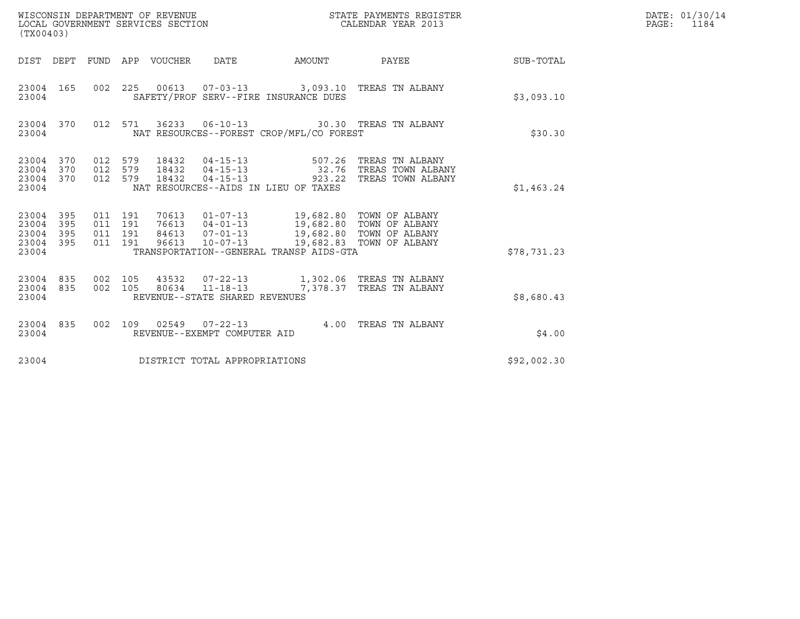| (TX00403)                                     |                   |                                          |         | WISCONSIN DEPARTMENT OF REVENUE<br>LOCAL GOVERNMENT SERVICES SECTION |                                                    | STATE PAYMENTS REGISTER<br>CALENDAR YEAR 2013                                                                                                                                                                                |                                                                                         | DATE: 01/30/14<br>$\mathtt{PAGE:}$<br>1184 |  |
|-----------------------------------------------|-------------------|------------------------------------------|---------|----------------------------------------------------------------------|----------------------------------------------------|------------------------------------------------------------------------------------------------------------------------------------------------------------------------------------------------------------------------------|-----------------------------------------------------------------------------------------|--------------------------------------------|--|
|                                               |                   |                                          |         | DIST DEPT FUND APP VOUCHER                                           | DATE                                               | AMOUNT                                                                                                                                                                                                                       | PAYEE                                                                                   | SUB-TOTAL                                  |  |
| 23004 165<br>23004                            |                   |                                          |         |                                                                      |                                                    | SAFETY/PROF SERV--FIRE INSURANCE DUES                                                                                                                                                                                        | 002 225 00613 07-03-13 3,093.10 TREAS TN ALBANY                                         | \$3,093.10                                 |  |
| 23004 370<br>23004                            |                   |                                          | 012 571 |                                                                      |                                                    | NAT RESOURCES--FOREST CROP/MFL/CO FOREST                                                                                                                                                                                     | 36233   06-10-13   30.30   TREAS TN ALBANY                                              | \$30.30                                    |  |
| 23004 370<br>23004<br>23004<br>23004          | 370<br>370        | 012 579<br>012 579<br>012 579            |         | 18432<br>18432<br>18432                                              | $04 - 15 - 13$<br>$04 - 15 - 13$<br>$04 - 15 - 13$ | 507.26<br>NAT RESOURCES--AIDS IN LIEU OF TAXES                                                                                                                                                                               | TREAS TN ALBANY<br>32.76 TREAS TOWN ALBANY<br>923.22 TREAS TOWN ALBANY                  | \$1,463.24                                 |  |
| 23004<br>23004<br>23004<br>23004 395<br>23004 | 395<br>395<br>395 | 011 191<br>011 191<br>011 191<br>011 191 |         |                                                                      |                                                    | 70613  01-07-13  19,682.80  TOWN OF ALBANY<br>76613  04-01-13  19,682.80 TOWN OF ALBANY<br>84613  07-01-13  19,682.80 TOWN OF ALBANY<br>96613  10-07-13  19,682.83 TOWN OF ALBANY<br>TRANSPORTATION--GENERAL TRANSP AIDS-GTA |                                                                                         | \$78,731.23                                |  |
| 23004 835<br>23004 835<br>23004               |                   | 002 105<br>002 105                       |         |                                                                      | REVENUE--STATE SHARED REVENUES                     |                                                                                                                                                                                                                              | 43532  07-22-13   1,302.06   TREAS TN ALBANY<br>80634 11-18-13 7,378.37 TREAS TN ALBANY | \$8,680.43                                 |  |
| 23004 835<br>23004                            |                   | 002 109                                  |         | 02549                                                                | REVENUE--EXEMPT COMPUTER AID                       |                                                                                                                                                                                                                              | 07-22-13 4.00 TREAS TN ALBANY                                                           | \$4.00                                     |  |
| 23004                                         |                   |                                          |         |                                                                      | DISTRICT TOTAL APPROPRIATIONS                      |                                                                                                                                                                                                                              |                                                                                         | \$92,002.30                                |  |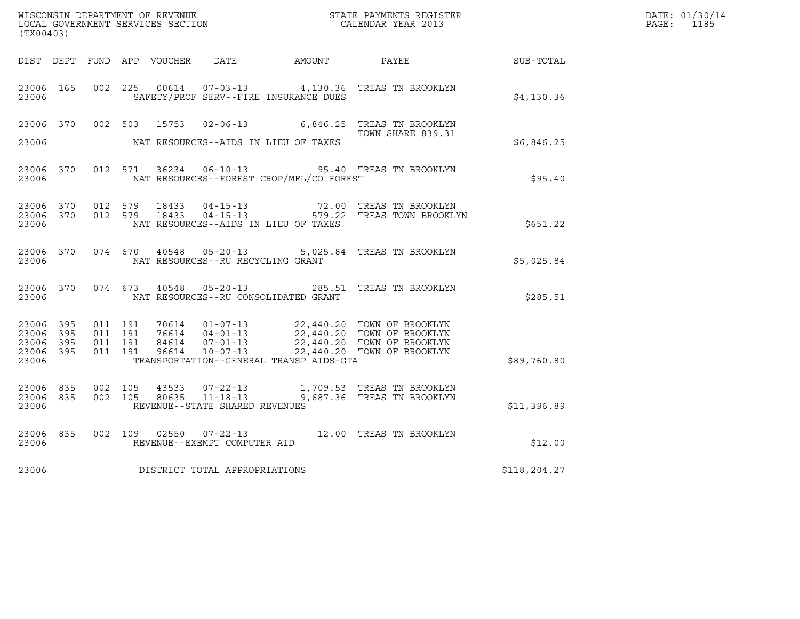| (TX00403)                                     |                        |                    |                         |                                   |                                              |                                                                                                                                                                                                                                                                                                              |              | DATE: 01/30/14<br>PAGE: 1185 |
|-----------------------------------------------|------------------------|--------------------|-------------------------|-----------------------------------|----------------------------------------------|--------------------------------------------------------------------------------------------------------------------------------------------------------------------------------------------------------------------------------------------------------------------------------------------------------------|--------------|------------------------------|
|                                               |                        |                    |                         |                                   | DIST DEPT FUND APP VOUCHER DATE AMOUNT PAYEE |                                                                                                                                                                                                                                                                                                              | SUB-TOTAL    |                              |
| 23006 165<br>23006                            |                        |                    |                         |                                   | SAFETY/PROF SERV--FIRE INSURANCE DUES        | 002 225 00614 07-03-13 4,130.36 TREAS TN BROOKLYN                                                                                                                                                                                                                                                            | \$4,130.36   |                              |
|                                               |                        |                    |                         |                                   |                                              | 23006 370 002 503 15753 02-06-13 6,846.25 TREAS TN BROOKLYN<br>TOWN SHARE 839.31<br>TOWN SHARE 839.31                                                                                                                                                                                                        |              |                              |
| 23006                                         |                        |                    |                         |                                   | NAT RESOURCES--AIDS IN LIEU OF TAXES         |                                                                                                                                                                                                                                                                                                              | \$6,846.25   |                              |
| 23006                                         | 23006 370              |                    |                         |                                   | NAT RESOURCES--FOREST CROP/MFL/CO FOREST     | 012 571 36234 06-10-13 95.40 TREAS TN BROOKLYN                                                                                                                                                                                                                                                               | \$95.40      |                              |
| 23006 370<br>23006                            |                        |                    | 23006 370 012 579 18433 |                                   | NAT RESOURCES--AIDS IN LIEU OF TAXES         | 012 579 18433 04-15-13 72.00 TREAS TN BROOKLYN<br>012 579 18433 04-15-13 579.22 TREAS TOWN BROOKLYN                                                                                                                                                                                                          | \$651.22     |                              |
| 23006                                         | 23006 370              |                    |                         | NAT RESOURCES--RU RECYCLING GRANT |                                              | 074  670  40548  05-20-13  5,025.84  TREAS TN BROOKLYN                                                                                                                                                                                                                                                       | \$5,025.84   |                              |
| 23006                                         | 23006 370              | 074 673            |                         |                                   | NAT RESOURCES--RU CONSOLIDATED GRANT         | 40548  05-20-13  285.51  TREAS TN BROOKLYN                                                                                                                                                                                                                                                                   | \$285.51     |                              |
| 23006 395<br>23006<br>23006<br>23006<br>23006 | - 395<br>395<br>395    | 011 191            |                         |                                   | TRANSPORTATION--GENERAL TRANSP AIDS-GTA      | $\begin{array}{cccc} 011 & 191 & 70614 & 01\texttt{-}07\texttt{-}13 & 22,440.20 & \texttt{TOWN OF BROOKLYN} \\ 011 & 191 & 76614 & 04\texttt{-}01\texttt{-}13 & 22,440.20 & \texttt{TOWN OF BROOKLYN} \\ 011 & 191 & 84614 & 07\texttt{-}01\texttt{-}13 & 22,440.20 & \texttt{TOWN OF BROOKLYN} \end{array}$ | \$89,760.80  |                              |
| 23006                                         | 23006 835<br>23006 835 | 002 105<br>002 105 |                         | REVENUE--STATE SHARED REVENUES    |                                              | $43533$ $07-22-13$ 1,709.53 TREAS TN BROOKLYN<br>80635 11-18-13 9,687.36 TREAS TN BROOKLYN                                                                                                                                                                                                                   | \$11,396.89  |                              |
| 23006                                         | 23006 835              |                    |                         | REVENUE--EXEMPT COMPUTER AID      |                                              | 002 109 02550 07-22-13 12.00 TREAS TN BROOKLYN                                                                                                                                                                                                                                                               | \$12.00      |                              |
| 23006                                         |                        |                    |                         | DISTRICT TOTAL APPROPRIATIONS     |                                              |                                                                                                                                                                                                                                                                                                              | \$118,204.27 |                              |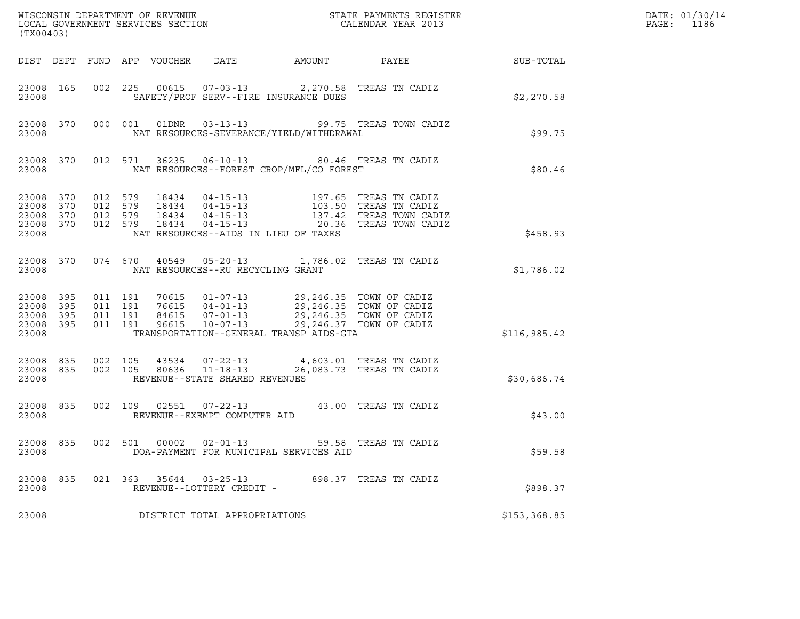| (TX00403)                                             |            |                                          |                            |                                                                    |                                                                                                                                                                                | ${\tt WISCO} {\tt NSM} {\tt NEMR} {\tt NEMR} {\tt NEMR} {\tt NEMR} {\tt NEMR} {\tt NEMR} {\tt NEMR} {\tt NEMR} {\tt NEMR} {\tt NEMR} {\tt NEMR} {\tt NEMR} {\tt NEMR} {\tt NEMR} {\tt NEMR} {\tt NEMR} {\tt NEMR} {\tt NEMR} {\tt NEMR} {\tt NEMR} {\tt NEMR} {\tt NEMR} {\tt NEMR} {\tt NEMR} {\tt NEMR} {\tt NEMR} {\tt NEMR} {\tt NEMR} {\tt NEMR} {\tt NEMR} {\tt NEMR} {\tt NEMR} {\tt NEMR} {\tt NEMR} {\tt NEMR}$ |              | DATE: 01/30/14<br>PAGE:<br>1186 |
|-------------------------------------------------------|------------|------------------------------------------|----------------------------|--------------------------------------------------------------------|--------------------------------------------------------------------------------------------------------------------------------------------------------------------------------|--------------------------------------------------------------------------------------------------------------------------------------------------------------------------------------------------------------------------------------------------------------------------------------------------------------------------------------------------------------------------------------------------------------------------|--------------|---------------------------------|
|                                                       |            |                                          | DIST DEPT FUND APP VOUCHER | DATE                                                               | AMOUNT                                                                                                                                                                         | PAYEE                                                                                                                                                                                                                                                                                                                                                                                                                    | SUB-TOTAL    |                                 |
| 23008 165<br>23008                                    |            |                                          | 002 225                    |                                                                    | 00615  07-03-13  2,270.58  TREAS TN CADIZ<br>SAFETY/PROF SERV--FIRE INSURANCE DUES                                                                                             |                                                                                                                                                                                                                                                                                                                                                                                                                          | \$2,270.58   |                                 |
| 23008                                                 | 23008 370  |                                          | 000 001                    |                                                                    | NAT RESOURCES-SEVERANCE/YIELD/WITHDRAWAL                                                                                                                                       | 01DNR  03-13-13  99.75 TREAS TOWN CADIZ                                                                                                                                                                                                                                                                                                                                                                                  | \$99.75      |                                 |
| 23008 370<br>23008                                    |            |                                          | 012 571<br>36235           |                                                                    | 06-10-13 80.46 TREAS TN CADIZ<br>NAT RESOURCES--FOREST CROP/MFL/CO FOREST                                                                                                      |                                                                                                                                                                                                                                                                                                                                                                                                                          | \$80.46      |                                 |
| 23008 370<br>23008<br>23008<br>23008 370<br>23008     | 370<br>370 | 012 579<br>012 579<br>012 579<br>012 579 |                            |                                                                    | NAT RESOURCES--AIDS IN LIEU OF TAXES                                                                                                                                           | 197.65 TREAS TN CADIZ<br>103.50 TREAS TN CADIZ<br>137.42 TREAS TOWN CADIZ<br>20.36 TREAS TOWN CADIZ                                                                                                                                                                                                                                                                                                                      | \$458.93     |                                 |
| 23008 370<br>23008                                    |            |                                          | 074 670                    | NAT RESOURCES--RU RECYCLING GRANT                                  | 40549  05-20-13  1,786.02  TREAS TN CADIZ                                                                                                                                      |                                                                                                                                                                                                                                                                                                                                                                                                                          | \$1,786.02   |                                 |
| 23008 395<br>23008 395<br>23008<br>23008 395<br>23008 | 395        | 011 191<br>011 191<br>011 191            | 011 191<br>96615           | $10 - 07 - 13$                                                     | 70615  01-07-13  29,246.35  TOWN OF CADIZ<br>76615  04-01-13  29,246.35  TOWN OF CADIZ<br>84615  07-01-13  29,246.35  TOWN OF CADIZ<br>TRANSPORTATION--GENERAL TRANSP AIDS-GTA | 29,246.37 TOWN OF CADIZ                                                                                                                                                                                                                                                                                                                                                                                                  | \$116,985.42 |                                 |
| 23008 835<br>23008 835<br>23008                       |            | 002 105<br>002 105                       | 43534<br>80636             | $07 - 22 - 13$<br>$11 - 18 - 13$<br>REVENUE--STATE SHARED REVENUES |                                                                                                                                                                                | 4,603.01 TREAS TN CADIZ<br>26,083.73 TREAS TN CADIZ                                                                                                                                                                                                                                                                                                                                                                      | \$30,686.74  |                                 |
| 23008 835<br>23008                                    |            |                                          | 002 109                    | 02551 07-22-13<br>REVENUE--EXEMPT COMPUTER AID                     | 43.00 TREAS TN CADIZ                                                                                                                                                           |                                                                                                                                                                                                                                                                                                                                                                                                                          | \$43.00      |                                 |
| 23008 835<br>23008                                    |            |                                          | 002 501                    | 00002  02-01-13                                                    | DOA-PAYMENT FOR MUNICIPAL SERVICES AID                                                                                                                                         | 59.58 TREAS TN CADIZ                                                                                                                                                                                                                                                                                                                                                                                                     | \$59.58      |                                 |
| 23008 835<br>23008                                    |            |                                          | 021 363 35644 03-25-13     | REVENUE--LOTTERY CREDIT -                                          |                                                                                                                                                                                | 898.37 TREAS TN CADIZ                                                                                                                                                                                                                                                                                                                                                                                                    | \$898.37     |                                 |
| 23008                                                 |            |                                          |                            | DISTRICT TOTAL APPROPRIATIONS                                      |                                                                                                                                                                                |                                                                                                                                                                                                                                                                                                                                                                                                                          | \$153,368.85 |                                 |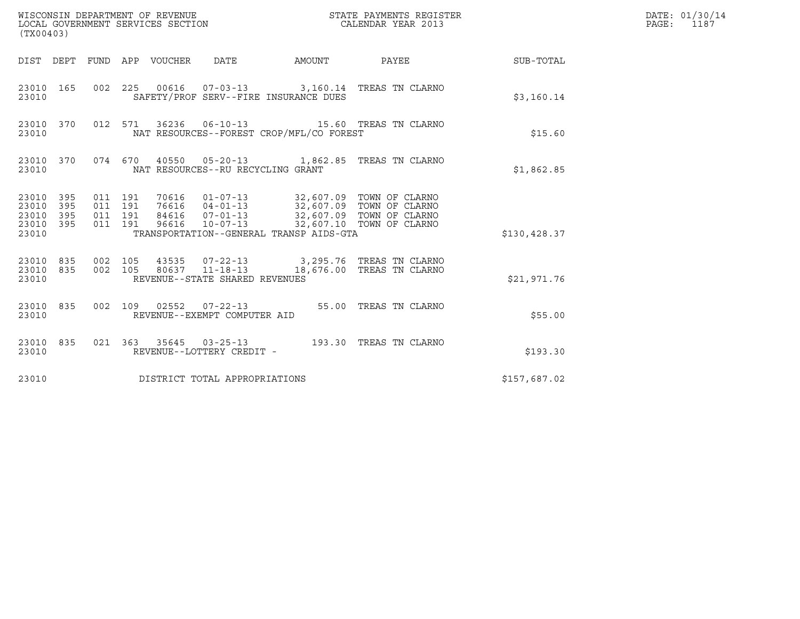| (TX00403)                                             |           |                               |         |                                 |                                   |                                          |                                                                                                                                                                                                             |                        | DATE: 01/30/14<br>$\mathtt{PAGE:}$<br>1187 |
|-------------------------------------------------------|-----------|-------------------------------|---------|---------------------------------|-----------------------------------|------------------------------------------|-------------------------------------------------------------------------------------------------------------------------------------------------------------------------------------------------------------|------------------------|--------------------------------------------|
|                                                       |           |                               |         | DIST DEPT FUND APP VOUCHER DATE |                                   |                                          |                                                                                                                                                                                                             | AMOUNT PAYEE SUB-TOTAL |                                            |
| 23010                                                 | 23010 165 |                               |         |                                 |                                   | SAFETY/PROF SERV--FIRE INSURANCE DUES    | 002 225 00616 07-03-13 3,160.14 TREAS TN CLARNO                                                                                                                                                             | \$3,160.14             |                                            |
| 23010                                                 | 23010 370 |                               |         |                                 |                                   | NAT RESOURCES--FOREST CROP/MFL/CO FOREST | 012 571 36236 06-10-13 15.60 TREAS TN CLARNO                                                                                                                                                                | \$15.60                |                                            |
| 23010                                                 | 23010 370 |                               |         |                                 | NAT RESOURCES--RU RECYCLING GRANT |                                          | 074 670 40550 05-20-13 1,862.85 TREAS TN CLARNO                                                                                                                                                             | \$1,862.85             |                                            |
| 23010 395<br>23010 395<br>23010<br>23010 395<br>23010 | 395       | 011 191<br>011 191<br>011 191 | 011 191 |                                 |                                   | TRANSPORTATION--GENERAL TRANSP AIDS-GTA  | 70616   01-07-13   32,607.09 TOWN OF CLARNO<br>76616   04-01-13   32,607.09 TOWN OF CLARNO<br>84616  07-01-13  32,607.09  TOWN OF CLARNO<br>96616  10-07-13  32,607.10  TOWN OF CLARNO                      | \$130,428.37           |                                            |
| 23010                                                 |           |                               |         |                                 | REVENUE--STATE SHARED REVENUES    |                                          | $\begin{array}{cccccccc} 23010 & 835 & 002 & 105 & 43535 & 07-22-13 & & 3,295.76 & \text{TREAS TN CLARNO} \\ 23010 & 835 & 002 & 105 & 80637 & 11-18-13 & & 18,676.00 & \text{TREAS TN CLARNO} \end{array}$ | \$21,971.76            |                                            |
| 23010                                                 | 23010 835 |                               |         |                                 | REVENUE--EXEMPT COMPUTER AID      |                                          | 002 109 02552 07-22-13 55.00 TREAS TN CLARNO                                                                                                                                                                | \$55.00                |                                            |
| 23010 835<br>23010                                    |           |                               |         |                                 | REVENUE--LOTTERY CREDIT -         |                                          |                                                                                                                                                                                                             | \$193.30               |                                            |
| 23010                                                 |           |                               |         |                                 | DISTRICT TOTAL APPROPRIATIONS     |                                          |                                                                                                                                                                                                             | \$157,687.02           |                                            |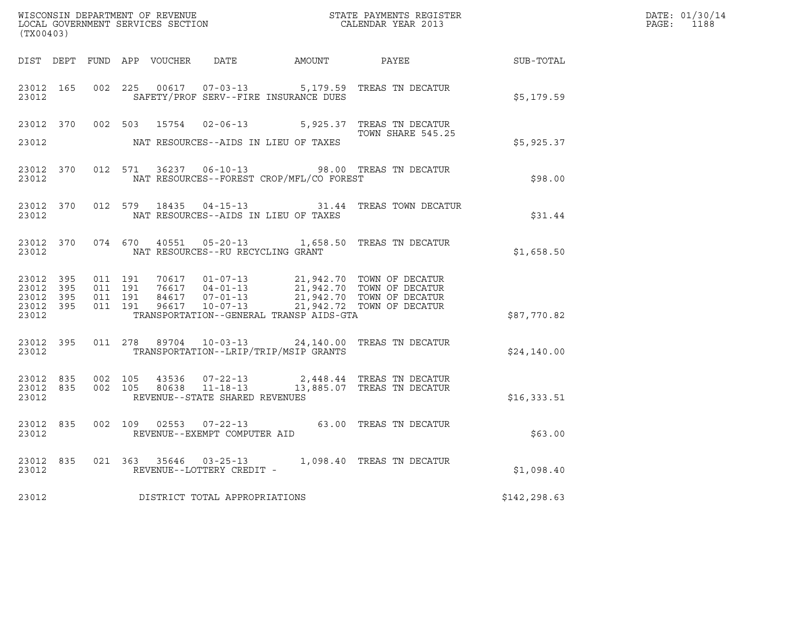| LOCAL GOVERNMENT SERVICES SECTION<br>(TX00403)            |           |                   |                               |  |                                   |                                          |                                                                                                                                                                                          |              | DATE: 01/30/14<br>PAGE: 1188 |
|-----------------------------------------------------------|-----------|-------------------|-------------------------------|--|-----------------------------------|------------------------------------------|------------------------------------------------------------------------------------------------------------------------------------------------------------------------------------------|--------------|------------------------------|
|                                                           |           |                   |                               |  |                                   |                                          | DIST DEPT FUND APP VOUCHER DATE AMOUNT PAYEE TO SUB-TOTAL                                                                                                                                |              |                              |
| 23012 165<br>23012                                        |           |                   |                               |  |                                   | SAFETY/PROF SERV--FIRE INSURANCE DUES    | 002 225 00617 07-03-13 5,179.59 TREAS TN DECATUR                                                                                                                                         | \$5,179.59   |                              |
|                                                           |           |                   |                               |  |                                   |                                          | 23012 370 002 503 15754 02-06-13 5,925.37 TREAS TN DECATUR<br>TOWN SHARE 545.25                                                                                                          |              |                              |
| 23012                                                     |           |                   |                               |  |                                   | NAT RESOURCES--AIDS IN LIEU OF TAXES     |                                                                                                                                                                                          | \$5,925.37   |                              |
| 23012                                                     |           |                   |                               |  |                                   | NAT RESOURCES--FOREST CROP/MFL/CO FOREST | 23012 370 012 571 36237 06-10-13 98.00 TREAS TN DECATUR                                                                                                                                  | \$98.00      |                              |
| 23012 370<br>23012                                        |           |                   |                               |  |                                   | NAT RESOURCES--AIDS IN LIEU OF TAXES     | 012 579 18435 04-15-13 31.44 TREAS TOWN DECATUR                                                                                                                                          | \$31.44      |                              |
| 23012                                                     |           |                   |                               |  | NAT RESOURCES--RU RECYCLING GRANT |                                          | 23012 370 074 670 40551 05-20-13 1,658.50 TREAS TN DECATUR                                                                                                                               | \$1,658.50   |                              |
| 23012 395<br>23012 395<br>23012 395<br>23012 395<br>23012 |           | 011 191           | 011 191<br>011 191<br>011 191 |  |                                   | TRANSPORTATION--GENERAL TRANSP AIDS-GTA  | 70617  01-07-13  21,942.70  TOWN OF DECATUR<br>76617  04-01-13  21,942.70  TOWN OF DECATUR<br>84617  07-01-13  21,942.70  TOWN OF DECATUR<br>96617  10-07-13  21,942.72  TOWN OF DECATUR | \$87,770.82  |                              |
| 23012                                                     | 23012 395 |                   |                               |  |                                   | TRANSPORTATION--LRIP/TRIP/MSIP GRANTS    | 011  278  89704  10-03-13  24,140.00  TREAS TN DECATUR                                                                                                                                   | \$24,140.00  |                              |
| 23012 835<br>23012                                        |           | 23012 835 002 105 | 002 105                       |  | REVENUE--STATE SHARED REVENUES    |                                          | $2,448.44$ TREAS TN DECATUR<br>80638 11-18-13 13,885.07 TREAS TN DECATUR                                                                                                                 | \$16,333.51  |                              |
| 23012                                                     | 23012 835 |                   |                               |  | REVENUE--EXEMPT COMPUTER AID      |                                          | 002 109 02553 07-22-13 63.00 TREAS TN DECATUR                                                                                                                                            | \$63.00      |                              |
| 23012                                                     | 23012 835 |                   |                               |  | REVENUE--LOTTERY CREDIT -         |                                          | 021  363  35646  03-25-13   1,098.40  TREAS TN DECATUR                                                                                                                                   | \$1,098.40   |                              |
| 23012                                                     |           |                   |                               |  | DISTRICT TOTAL APPROPRIATIONS     |                                          |                                                                                                                                                                                          | \$142,298.63 |                              |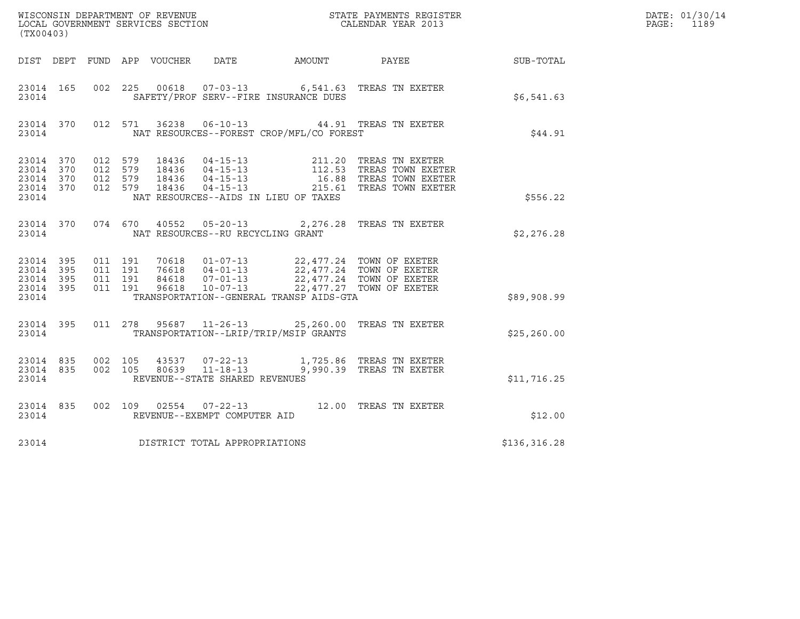| (TX00403) |  |       |  |                                         |                                                |                                                                                                                                                                                                                                                                                                                           |              | DATE: 01/30/14<br>PAGE: 1189 |
|-----------|--|-------|--|-----------------------------------------|------------------------------------------------|---------------------------------------------------------------------------------------------------------------------------------------------------------------------------------------------------------------------------------------------------------------------------------------------------------------------------|--------------|------------------------------|
|           |  |       |  |                                         |                                                | DIST DEPT FUND APP VOUCHER DATE AMOUNT PAYEE PAYER SUB-TOTAL                                                                                                                                                                                                                                                              |              |                              |
|           |  | 23014 |  |                                         | SAFETY/PROF SERV--FIRE INSURANCE DUES          | 23014 165 002 225 00618 07-03-13 6,541.63 TREAS TN EXETER                                                                                                                                                                                                                                                                 | \$6,541.63   |                              |
|           |  |       |  |                                         | 23014 NAT RESOURCES--FOREST CROP/MFL/CO FOREST | 23014 370 012 571 36238 06-10-13 44.91 TREAS TN EXETER                                                                                                                                                                                                                                                                    | \$44.91      |                              |
| 23014     |  |       |  |                                         | NAT RESOURCES--AIDS IN LIEU OF TAXES           | $\begin{array}{cccccccc} 23014 & 370 & 012 & 579 & 18436 & 04-15-13 & 211.20 & \text{TREAS TN EXETER} \\ 23014 & 370 & 012 & 579 & 18436 & 04-15-13 & 112.53 & \text{TREAS TOWN EXETER} \\ 23014 & 370 & 012 & 579 & 18436 & 04-15-13 & 16.88 & \text{TREAS TOWN EXETER} \\ 23014 & 370 & 012 & 579 & 18436 & 04-15-1$    | \$556.22     |                              |
|           |  |       |  |                                         |                                                |                                                                                                                                                                                                                                                                                                                           |              |                              |
|           |  |       |  | 23014 NAT RESOURCES--RU RECYCLING GRANT |                                                | 23014 370 074 670 40552 05-20-13 2,276.28 TREAS TN EXETER                                                                                                                                                                                                                                                                 | \$2,276.28   |                              |
|           |  |       |  |                                         |                                                | $\begin{array}{cccccccc} 23\,014 & 395 & 011 & 191 & 70618 & 01-07-13 & 22\,,477\,.24 & \textrm{TOWN OF EXETER} \\ 23\,014 & 395 & 011 & 191 & 76618 & 04-01-13 & 22\,,477\,.24 & \textrm{TOWN OF EXETER} \\ 23\,014 & 395 & 011 & 191 & 84618 & 07-01-13 & 22\,,477\,.24 & \textrm{TOWN OF EXETER} \\ 23\,014 & 395 & 0$ |              |                              |
| 23014     |  |       |  |                                         | TRANSPORTATION--GENERAL TRANSP AIDS-GTA        |                                                                                                                                                                                                                                                                                                                           | \$89,908.99  |                              |
|           |  |       |  |                                         | 23014 TRANSPORTATION--LRIP/TRIP/MSIP GRANTS    | 23014 395 011 278 95687 11-26-13 25,260.00 TREAS TN EXETER                                                                                                                                                                                                                                                                | \$25, 260.00 |                              |
| 23014     |  |       |  | REVENUE--STATE SHARED REVENUES          |                                                | $\begin{array}{cccccccc} 23014 & 835 & 002 & 105 & 43537 & 07-22-13 & & 1,725.86 & \text{TREAS TN EXETER} \\ 23014 & 835 & 002 & 105 & 80639 & 11-18-13 & & 9,990.39 & \text{TREAS TN EXETER} \end{array}$                                                                                                                | \$11,716.25  |                              |
| 23014     |  |       |  | REVENUE--EXEMPT COMPUTER AID            |                                                | 23014 835 002 109 02554 07-22-13 12.00 TREAS TN EXETER                                                                                                                                                                                                                                                                    | \$12.00      |                              |
| 23014     |  |       |  | DISTRICT TOTAL APPROPRIATIONS           |                                                |                                                                                                                                                                                                                                                                                                                           | \$136,316.28 |                              |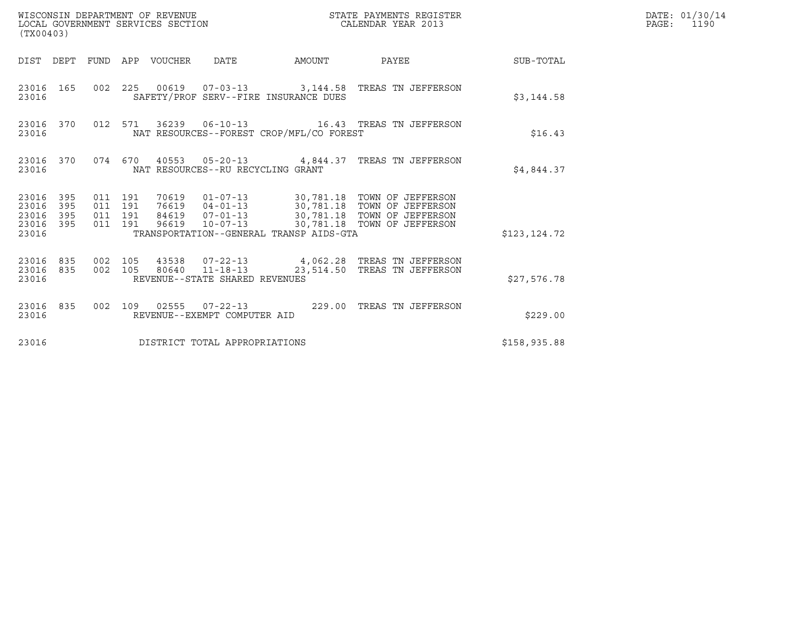| WISCONSIN DEPARTMENT OF REVENUE<br>(TX00403)                    | LOCAL GOVERNMENT SERVICES SECTION                                                                                                                                                                                                                                                      | STATE PAYMENTS REGISTER<br>CALENDAR YEAR 2013 |                  | DATE: 01/30/14<br>$\mathtt{PAGE:}$<br>1190 |
|-----------------------------------------------------------------|----------------------------------------------------------------------------------------------------------------------------------------------------------------------------------------------------------------------------------------------------------------------------------------|-----------------------------------------------|------------------|--------------------------------------------|
|                                                                 | DIST DEPT FUND APP VOUCHER DATE<br>AMOUNT                                                                                                                                                                                                                                              | PAYEE                                         | <b>SUB-TOTAL</b> |                                            |
| 23016 165<br>23016                                              | 002  225  00619  07-03-13  3,144.58  TREAS TN JEFFERSON<br>SAFETY/PROF SERV--FIRE INSURANCE DUES                                                                                                                                                                                       |                                               | \$3,144.58       |                                            |
| 23016 370<br>23016                                              | 012 571 36239 06-10-13 16.43 TREAS TN JEFFERSON<br>NAT RESOURCES--FOREST CROP/MFL/CO FOREST                                                                                                                                                                                            |                                               | \$16.43          |                                            |
| 23016 370<br>23016                                              | 074  670  40553  05-20-13  4,844.37  TREAS TN JEFFERSON<br>NAT RESOURCES--RU RECYCLING GRANT                                                                                                                                                                                           |                                               | \$4,844.37       |                                            |
| 23016 395<br>23016<br>395<br>23016<br>395<br>23016 395<br>23016 | 70619  01-07-13  30,781.18  TOWN OF JEFFERSON<br>76619  04-01-13  30,781.18  TOWN OF JEFFERSON<br>011 191<br>011 191<br>84619  07-01-13  30,781.18 TOWN OF JEFFERSON<br>011 191<br>96619  10-07-13  30,781.18  TOWN OF JEFFERSON<br>011 191<br>TRANSPORTATION--GENERAL TRANSP AIDS-GTA |                                               | \$123,124.72     |                                            |
| 23016 835<br>23016 835<br>23016                                 | 43538  07-22-13  4,062.28  TREAS TN JEFFERSON<br>002 105<br>80640  11-18-13<br>002 105<br>REVENUE--STATE SHARED REVENUES                                                                                                                                                               | 23,514.50 TREAS TN JEFFERSON                  | \$27,576.78      |                                            |
| 23016 835<br>23016                                              | 002 109 02555 07-22-13 229.00 TREAS TN JEFFERSON<br>REVENUE--EXEMPT COMPUTER AID                                                                                                                                                                                                       |                                               | \$229.00         |                                            |
| 23016                                                           | DISTRICT TOTAL APPROPRIATIONS                                                                                                                                                                                                                                                          |                                               | \$158,935.88     |                                            |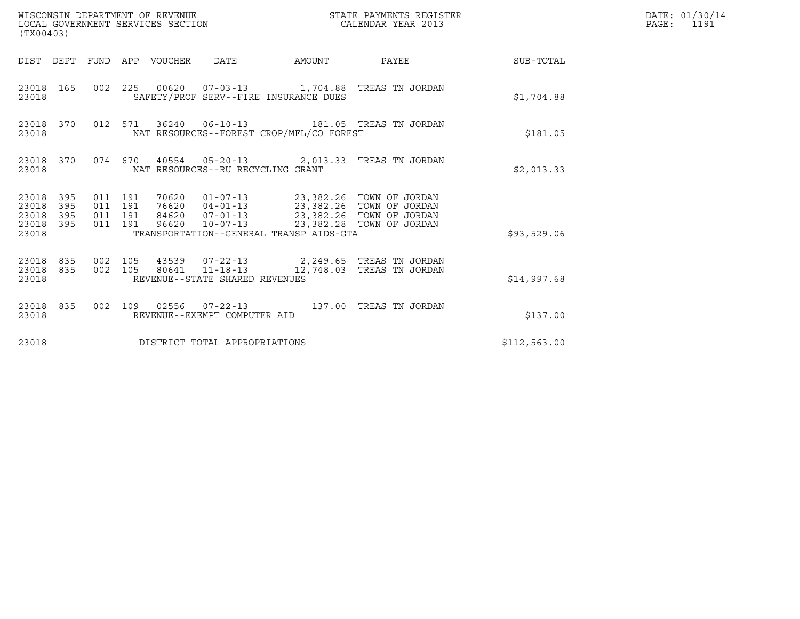| (TX00403)                                                          | WISCONSIN DEPARTMENT OF REVENUE<br>LOCAL GOVERNMENT SERVICES SECTION                                                                                                            | STATE PAYMENTS REGISTER<br>CALENDAR YEAR 2013 |              | DATE: 01/30/14<br>PAGE:<br>1191 |
|--------------------------------------------------------------------|---------------------------------------------------------------------------------------------------------------------------------------------------------------------------------|-----------------------------------------------|--------------|---------------------------------|
|                                                                    | DIST DEPT FUND APP VOUCHER DATE                                                                                                                                                 | AMOUNT PAYEE SUB-TOTAL                        |              |                                 |
| 23018 165<br>23018                                                 | 002 225 00620 07-03-13 1,704.88 TREAS TN JORDAN<br>SAFETY/PROF SERV--FIRE INSURANCE DUES                                                                                        |                                               | \$1,704.88   |                                 |
| 23018 370<br>23018                                                 | 012 571 36240 06-10-13 181.05 TREAS TN JORDAN<br>NAT RESOURCES--FOREST CROP/MFL/CO FOREST                                                                                       |                                               | \$181.05     |                                 |
| 23018                                                              | 23018 370 074 670 40554 05-20-13 2,013.33 TREAS TN JORDAN<br>NAT RESOURCES--RU RECYCLING GRANT                                                                                  |                                               | \$2,013.33   |                                 |
| 395<br>23018<br>23018<br>395<br>23018<br>395<br>23018 395<br>23018 | 011 191<br>011 191<br>84620  07-01-13  23,382.26  TOWN OF JORDAN<br>011 191<br>96620  10-07-13  23,382.28  TOWN OF JORDAN<br>011 191<br>TRANSPORTATION--GENERAL TRANSP AIDS-GTA |                                               | \$93,529.06  |                                 |
| 23018 835<br>23018 835<br>23018                                    | 43539  07-22-13  2,249.65  TREAS TN JORDAN<br>002 105<br>80641  11-18-13  12,748.03  TREAS TN JORDAN<br>002 105<br>REVENUE--STATE SHARED REVENUES                               |                                               | \$14,997.68  |                                 |
| 23018 835<br>23018                                                 | 002 109 02556 07-22-13 137.00 TREAS TN JORDAN<br>REVENUE--EXEMPT COMPUTER AID                                                                                                   |                                               | \$137.00     |                                 |
| 23018                                                              | DISTRICT TOTAL APPROPRIATIONS                                                                                                                                                   |                                               | \$112,563.00 |                                 |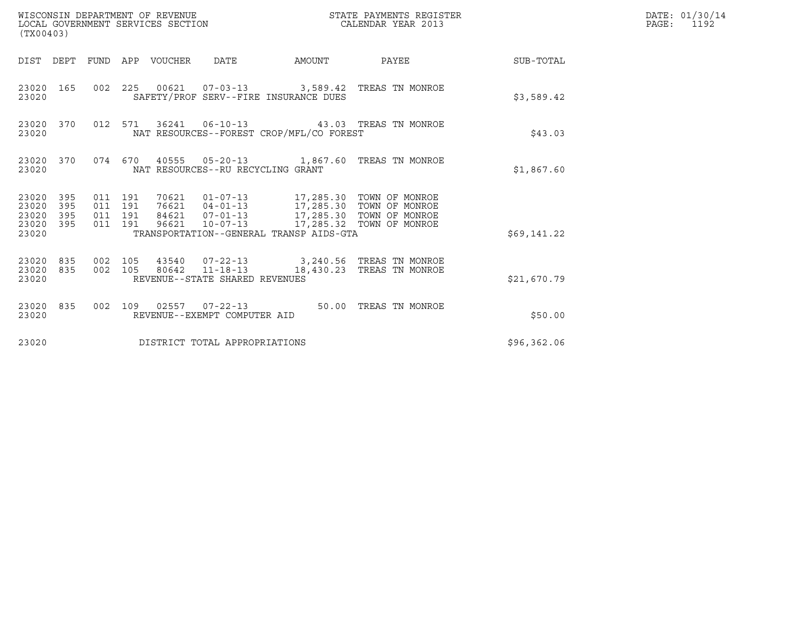| (TX00403)                                                       | WISCONSIN DEPARTMENT OF REVENUE<br>LOCAL GOVERNMENT SERVICES SECTION                                                                                                                                                                                                        | STATE PAYMENTS REGISTER<br>CALENDAR YEAR 2013 |             | DATE: 01/30/14<br>PAGE:<br>1192 |
|-----------------------------------------------------------------|-----------------------------------------------------------------------------------------------------------------------------------------------------------------------------------------------------------------------------------------------------------------------------|-----------------------------------------------|-------------|---------------------------------|
|                                                                 | DIST DEPT FUND APP VOUCHER DATE                                                                                                                                                                                                                                             | AMOUNT PAYEE SUB-TOTAL                        |             |                                 |
| 23020 165<br>23020                                              | 002 225 00621 07-03-13 3,589.42 TREAS TN MONROE<br>SAFETY/PROF SERV--FIRE INSURANCE DUES                                                                                                                                                                                    |                                               | \$3,589.42  |                                 |
| 23020 370<br>23020                                              | 012 571 36241 06-10-13 43.03 TREAS TN MONROE<br>NAT RESOURCES--FOREST CROP/MFL/CO FOREST                                                                                                                                                                                    |                                               | \$43.03     |                                 |
| 23020                                                           | 23020 370 074 670 40555 05-20-13 1,867.60 TREAS TN MONROE<br>NAT RESOURCES--RU RECYCLING GRANT                                                                                                                                                                              |                                               | \$1,867.60  |                                 |
| 23020 395<br>23020<br>395<br>23020<br>395<br>23020 395<br>23020 | 70621  01-07-13  17,285.30  TOWN OF MONROE<br>76621  04-01-13  17,285.30  TOWN OF MONROE<br>84621  07-01-13  17,285.30  TOWN OF MONROE<br>011 191<br>011 191<br>011 191<br>96621  10-07-13  17,285.32  TOWN OF MONROE<br>011 191<br>TRANSPORTATION--GENERAL TRANSP AIDS-GTA |                                               | \$69,141.22 |                                 |
| 23020 835<br>23020 835<br>23020                                 | 43540  07-22-13  3,240.56  TREAS TN MONROE<br>002 105<br>002 105 80642 11-18-13 18,430.23 TREAS TN MONROE<br>REVENUE--STATE SHARED REVENUES                                                                                                                                 |                                               | \$21,670.79 |                                 |
| 23020 835<br>23020                                              | 002 109 02557 07-22-13 50.00 TREAS TN MONROE<br>REVENUE--EXEMPT COMPUTER AID                                                                                                                                                                                                |                                               | \$50.00     |                                 |
| 23020                                                           | DISTRICT TOTAL APPROPRIATIONS                                                                                                                                                                                                                                               |                                               | \$96,362.06 |                                 |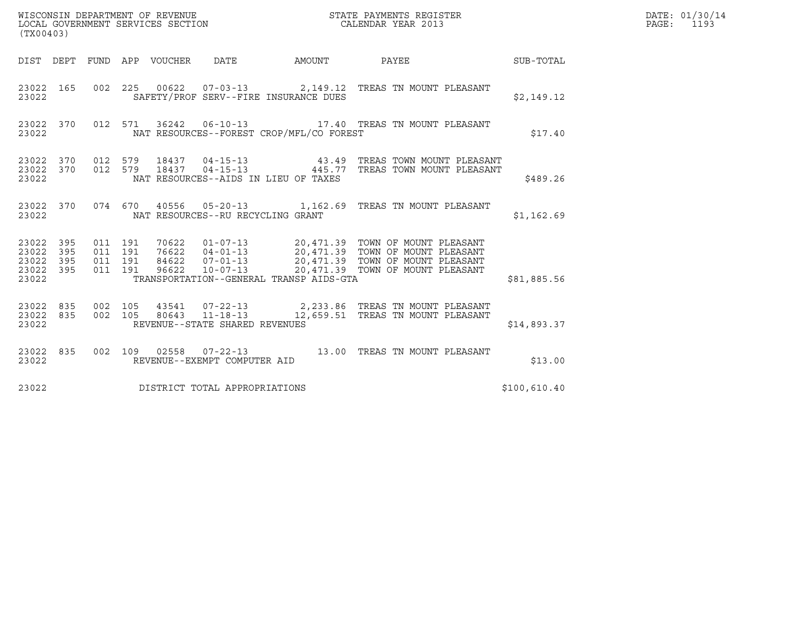| (TX00403)                                 |                          |                                          |                                 | WISCONSIN DEPARTMENT OF REVENUE<br>LOCAL GOVERNMENT SERVICES SECTION | STATE PAYMENTS REGISTER<br>CALENDAR YEAR 2013 |                                                                                                                                                                                                    |              | DATE: 01/30/14<br>PAGE: 1193 |
|-------------------------------------------|--------------------------|------------------------------------------|---------------------------------|----------------------------------------------------------------------|-----------------------------------------------|----------------------------------------------------------------------------------------------------------------------------------------------------------------------------------------------------|--------------|------------------------------|
|                                           |                          |                                          | DIST DEPT FUND APP VOUCHER DATE |                                                                      | AMOUNT                                        | <b>PAYEE</b>                                                                                                                                                                                       | SUB-TOTAL    |                              |
| 23022 165<br>23022                        |                          |                                          |                                 |                                                                      | SAFETY/PROF SERV--FIRE INSURANCE DUES         | 002 225 00622 07-03-13 2,149.12 TREAS TN MOUNT PLEASANT                                                                                                                                            | \$2,149.12   |                              |
| 23022 370<br>23022                        |                          |                                          |                                 |                                                                      | NAT RESOURCES--FOREST CROP/MFL/CO FOREST      | 012 571 36242 06-10-13 17.40 TREAS TN MOUNT PLEASANT                                                                                                                                               | \$17.40      |                              |
| 23022 370<br>23022<br>23022               | 370                      | 012 579<br>012 579                       | 18437<br>18437                  |                                                                      | NAT RESOURCES--AIDS IN LIEU OF TAXES          | 04-15-13                       43.49   TREAS TOWN MOUNT PLEASANT<br>04-15-13               445.77   TREAS TOWN MOUNT PLEASANT                                                                      | \$489.26     |                              |
| 23022 370<br>23022                        |                          |                                          |                                 | NAT RESOURCES--RU RECYCLING GRANT                                    |                                               | 074 670 40556 05-20-13 1,162.69 TREAS TN MOUNT PLEASANT                                                                                                                                            | \$1,162.69   |                              |
| 23022<br>23022<br>23022<br>23022<br>23022 | 395<br>395<br>395<br>395 | 011 191<br>011 191<br>011 191<br>011 191 | 96622                           | $10 - 07 - 13$                                                       | TRANSPORTATION--GENERAL TRANSP AIDS-GTA       | 70622  01-07-13  20,471.39  TOWN OF MOUNT PLEASANT<br>76622  04-01-13  20,471.39  TOWN OF MOUNT PLEASANT<br>84622  07-01-13  20,471.39  TOWN OF MOUNT PLEASANT<br>20,471.39 TOWN OF MOUNT PLEASANT | \$81,885.56  |                              |
| 23022 835<br>23022<br>23022               | 835                      | 002 105<br>002 105                       |                                 | REVENUE--STATE SHARED REVENUES                                       |                                               | 43541  07-22-13  2,233.86  TREAS TN MOUNT PLEASANT<br>80643 11-18-13 12,659.51 TREAS TN MOUNT PLEASANT                                                                                             | \$14,893.37  |                              |
| 23022 835<br>23022                        |                          |                                          |                                 | REVENUE--EXEMPT COMPUTER AID                                         |                                               | 002  109  02558  07-22-13  13.00 TREAS TN MOUNT PLEASANT                                                                                                                                           | \$13.00      |                              |
| 23022                                     |                          |                                          |                                 | DISTRICT TOTAL APPROPRIATIONS                                        |                                               |                                                                                                                                                                                                    | \$100,610.40 |                              |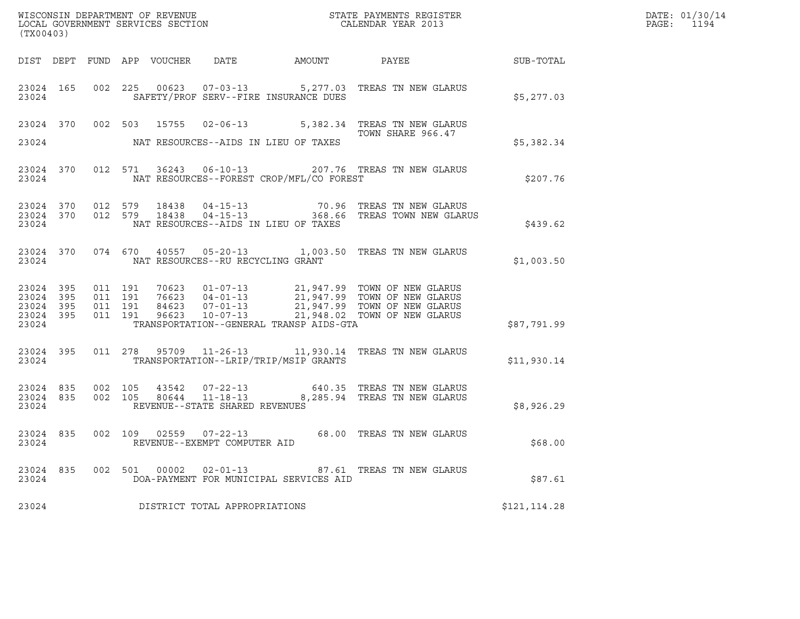| (TX00403)                                     |                   |                    |                    |       |                                   | WISCONSIN DEPARTMENT OF REVENUE                             STATE PAYMENTS REGISTER LOCAL GOVERNMENT SERVICES SECTION                                 CALENDAR YEAR 2013 |                                                                                                                                                                                                      |              | DATE: 01/30/14<br>$\mathtt{PAGE}$ :<br>1194 |
|-----------------------------------------------|-------------------|--------------------|--------------------|-------|-----------------------------------|--------------------------------------------------------------------------------------------------------------------------------------------------------------------------|------------------------------------------------------------------------------------------------------------------------------------------------------------------------------------------------------|--------------|---------------------------------------------|
|                                               |                   |                    |                    |       |                                   |                                                                                                                                                                          |                                                                                                                                                                                                      |              |                                             |
| 23024                                         |                   |                    |                    |       |                                   | SAFETY/PROF SERV--FIRE INSURANCE DUES                                                                                                                                    | 23024 165 002 225 00623 07-03-13 5,277.03 TREAS TN NEW GLARUS                                                                                                                                        | \$5,277.03   |                                             |
|                                               |                   |                    |                    |       |                                   |                                                                                                                                                                          | 23024 370 002 503 15755 02-06-13 5,382.34 TREAS TN NEW GLARUS<br>TOWN SHARE 966.47                                                                                                                   |              |                                             |
| 23024                                         |                   |                    |                    |       |                                   | NAT RESOURCES--AIDS IN LIEU OF TAXES                                                                                                                                     | TOWN SHARE 966.47                                                                                                                                                                                    | \$5,382.34   |                                             |
| 23024                                         |                   |                    |                    |       |                                   | NAT RESOURCES--FOREST CROP/MFL/CO FOREST                                                                                                                                 | 23024 370 012 571 36243 06-10-13 207.76 TREAS TN NEW GLARUS                                                                                                                                          | \$207.76     |                                             |
| 23024                                         |                   |                    |                    |       |                                   | NAT RESOURCES--AIDS IN LIEU OF TAXES                                                                                                                                     | $23024$ 370 012 579 18438 04-15-13 70.96 TREAS TN NEW GLARUS<br>23024 370 012 579 18438 04-15-13 368.66 TREAS TOWN NEW GLARUS                                                                        | \$439.62     |                                             |
| 23024                                         |                   |                    |                    |       | NAT RESOURCES--RU RECYCLING GRANT |                                                                                                                                                                          | 23024 370 074 670 40557 05-20-13 1,003.50 TREAS TN NEW GLARUS                                                                                                                                        | \$1,003.50   |                                             |
| 23024 395<br>23024<br>23024<br>23024<br>23024 | 395<br>395<br>395 | 011 191<br>011 191 | 011 191<br>011 191 |       |                                   | TRANSPORTATION--GENERAL TRANSP AIDS-GTA                                                                                                                                  | 70623  01-07-13  21,947.99  TOWN OF NEW GLARUS<br>76623  04-01-13  21,947.99  TOWN OF NEW GLARUS<br>84623  07-01-13  21,947.99  TOWN OF NEW GLARUS<br>96623  10-07-13  21,948.02  TOWN OF NEW GLARUS | \$87,791.99  |                                             |
| 23024 395<br>23024                            |                   |                    |                    |       |                                   | TRANSPORTATION--LRIP/TRIP/MSIP GRANTS                                                                                                                                    | 011  278  95709  11-26-13  11,930.14  TREAS TN NEW GLARUS                                                                                                                                            | \$11,930.14  |                                             |
| 23024 835<br>23024 835<br>23024               |                   |                    |                    |       | REVENUE--STATE SHARED REVENUES    |                                                                                                                                                                          | $\begin{array}{cccc} 002 & 105 & 43542 & 07-22-13 & 640.35 & \text{TREAS TN NEW GLARUS} \\ 002 & 105 & 80644 & 11-18-13 & 8,285.94 & \text{TREAS TN NEW GLARUS} \end{array}$                         | \$8,926.29   |                                             |
| 23024                                         |                   |                    |                    |       | REVENUE--EXEMPT COMPUTER AID      |                                                                                                                                                                          | 23024 835 002 109 02559 07-22-13 68.00 TREAS TN NEW GLARUS                                                                                                                                           | \$68.00      |                                             |
| 23024 835<br>23024                            |                   | 002                | 501                | 00002 | $02 - 01 - 13$                    | DOA-PAYMENT FOR MUNICIPAL SERVICES AID                                                                                                                                   | 87.61 TREAS TN NEW GLARUS                                                                                                                                                                            | \$87.61      |                                             |
| 23024                                         |                   |                    |                    |       | DISTRICT TOTAL APPROPRIATIONS     |                                                                                                                                                                          |                                                                                                                                                                                                      | \$121,114.28 |                                             |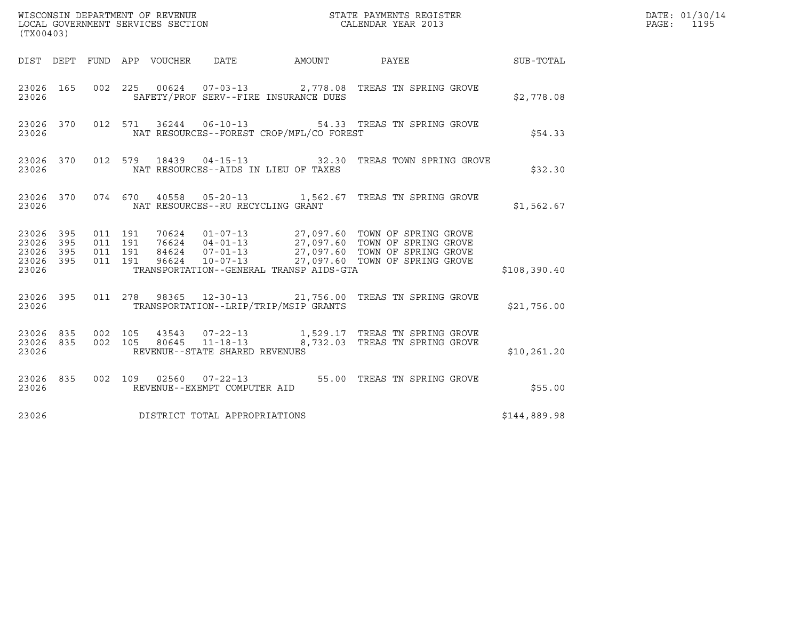|                                          | (TX00403)  |                               |         |  |                                   |                                          |                                                                                                                                                                                                          |              | DATE: 01/30/14<br>PAGE: 1195 |
|------------------------------------------|------------|-------------------------------|---------|--|-----------------------------------|------------------------------------------|----------------------------------------------------------------------------------------------------------------------------------------------------------------------------------------------------------|--------------|------------------------------|
|                                          |            |                               |         |  |                                   |                                          | DIST DEPT FUND APP VOUCHER DATE AMOUNT PAYEE THE SUB-TOTAL                                                                                                                                               |              |                              |
| 23026 165<br>23026                       |            |                               |         |  |                                   | SAFETY/PROF SERV--FIRE INSURANCE DUES    | 002  225  00624  07-03-13  2,778.08  TREAS TN SPRING GROVE                                                                                                                                               | \$2,778.08   |                              |
| 23026                                    |            |                               |         |  |                                   | NAT RESOURCES--FOREST CROP/MFL/CO FOREST | 23026 370 012 571 36244 06-10-13 54.33 TREAS TN SPRING GROVE                                                                                                                                             | \$54.33      |                              |
| 23026                                    |            |                               |         |  |                                   | NAT RESOURCES--AIDS IN LIEU OF TAXES     | 23026 370 012 579 18439 04-15-13 32.30 TREAS TOWN SPRING GROVE                                                                                                                                           | \$32.30      |                              |
| 23026                                    |            |                               |         |  | NAT RESOURCES--RU RECYCLING GRANT |                                          | 23026 370 074 670 40558 05-20-13 1,562.67 TREAS TN SPRING GROVE                                                                                                                                          | \$1,562.67   |                              |
| 23026 395<br>23026<br>23026<br>23026 395 | 395<br>395 | 011 191<br>011 191<br>011 191 | 011 191 |  |                                   |                                          | 70624  01-07-13  27,097.60 TOWN OF SPRING GROVE<br>76624  04-01-13  27,097.60 TOWN OF SPRING GROVE<br>84624  07-01-13  27,097.60 TOWN OF SPRING GROVE<br>96624  10-07-13  27,097.60 TOWN OF SPRING GROVE |              |                              |
| 23026                                    |            |                               |         |  |                                   | TRANSPORTATION--GENERAL TRANSP AIDS-GTA  |                                                                                                                                                                                                          | \$108,390.40 |                              |
| 23026                                    |            |                               |         |  |                                   | TRANSPORTATION--LRIP/TRIP/MSIP GRANTS    | 23026 395 011 278 98365 12-30-13 21,756.00 TREAS TN SPRING GROVE                                                                                                                                         | \$21,756.00  |                              |
| 23026 835 002 105<br>23026 835<br>23026  |            | 002 105                       |         |  | REVENUE--STATE SHARED REVENUES    |                                          | 43543  07-22-13   1,529.17   TREAS TN SPRING GROVE<br>80645  11-18-13   8,732.03   TREAS TN SPRING GROVE                                                                                                 | \$10, 261.20 |                              |
| 23026 835<br>23026                       |            |                               |         |  | REVENUE--EXEMPT COMPUTER AID      |                                          | 002 109 02560 07-22-13 55.00 TREAS TN SPRING GROVE                                                                                                                                                       | \$55.00      |                              |
| 23026                                    |            |                               |         |  | DISTRICT TOTAL APPROPRIATIONS     |                                          |                                                                                                                                                                                                          | \$144,889.98 |                              |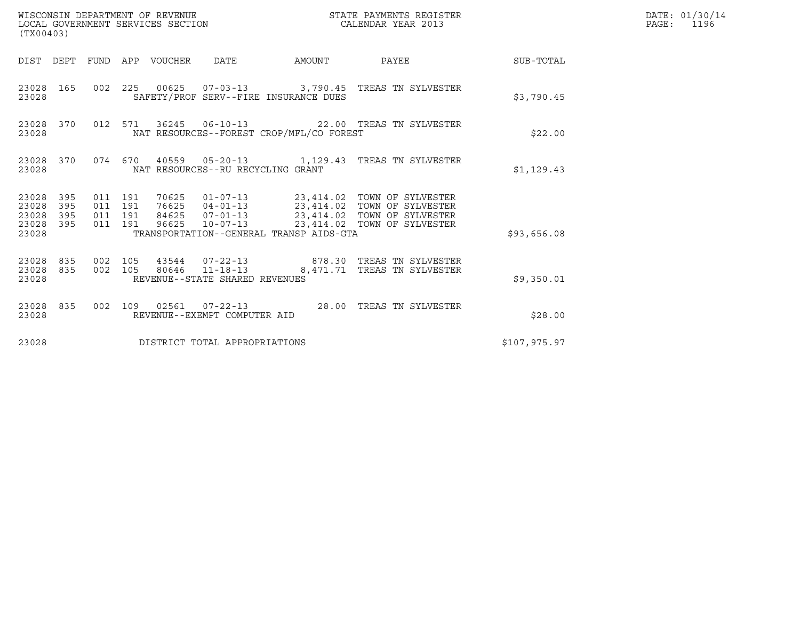| (TX00403)                                                          | WISCONSIN DEPARTMENT OF REVENUE<br>LOCAL GOVERNMENT SERVICES SECTION                                                                                                                                                                                                                    | STATE PAYMENTS REGISTER<br>CALENDAR YEAR 2013 |              | DATE: 01/30/14<br>PAGE:<br>1196 |
|--------------------------------------------------------------------|-----------------------------------------------------------------------------------------------------------------------------------------------------------------------------------------------------------------------------------------------------------------------------------------|-----------------------------------------------|--------------|---------------------------------|
|                                                                    | DIST DEPT FUND APP VOUCHER DATE                                                                                                                                                                                                                                                         | AMOUNT PAYEE SUB-TOTAL                        |              |                                 |
| 23028 165<br>23028                                                 | 002 225 00625 07-03-13 3,790.45 TREAS TN SYLVESTER<br>SAFETY/PROF SERV--FIRE INSURANCE DUES                                                                                                                                                                                             |                                               | \$3,790.45   |                                 |
| 23028 370<br>23028                                                 | 012 571 36245 06-10-13 22.00 TREAS TN SYLVESTER<br>NAT RESOURCES--FOREST CROP/MFL/CO FOREST                                                                                                                                                                                             |                                               | \$22.00      |                                 |
| 23028                                                              | 23028 370 074 670 40559 05-20-13 1,129.43 TREAS TN SYLVESTER<br>NAT RESOURCES--RU RECYCLING GRANT                                                                                                                                                                                       |                                               | \$1,129.43   |                                 |
| 23028<br>395<br>23028<br>395<br>23028<br>395<br>23028 395<br>23028 | 70625  01-07-13  23,414.02  TOWN OF SYLVESTER<br>76625  04-01-13  23,414.02  TOWN OF SYLVESTER<br>011 191<br>011 191<br>84625  07-01-13  23,414.02  TOWN OF SYLVESTER<br>011 191<br>96625  10-07-13  23,414.02  TOWN OF SYLVESTER<br>011 191<br>TRANSPORTATION--GENERAL TRANSP AIDS-GTA |                                               | \$93,656.08  |                                 |
| 23028 835<br>23028 835<br>23028                                    | 43544  07-22-13  878.30 TREAS TN SYLVESTER<br>002 105<br>002 105 80646 11-18-13 8,471.71 TREAS TN SYLVESTER<br>REVENUE--STATE SHARED REVENUES                                                                                                                                           |                                               | \$9,350.01   |                                 |
| 23028 835<br>23028                                                 | 002 109 02561 07-22-13 28.00 TREAS TN SYLVESTER<br>REVENUE--EXEMPT COMPUTER AID                                                                                                                                                                                                         |                                               | \$28.00      |                                 |
| 23028                                                              | DISTRICT TOTAL APPROPRIATIONS                                                                                                                                                                                                                                                           |                                               | \$107,975.97 |                                 |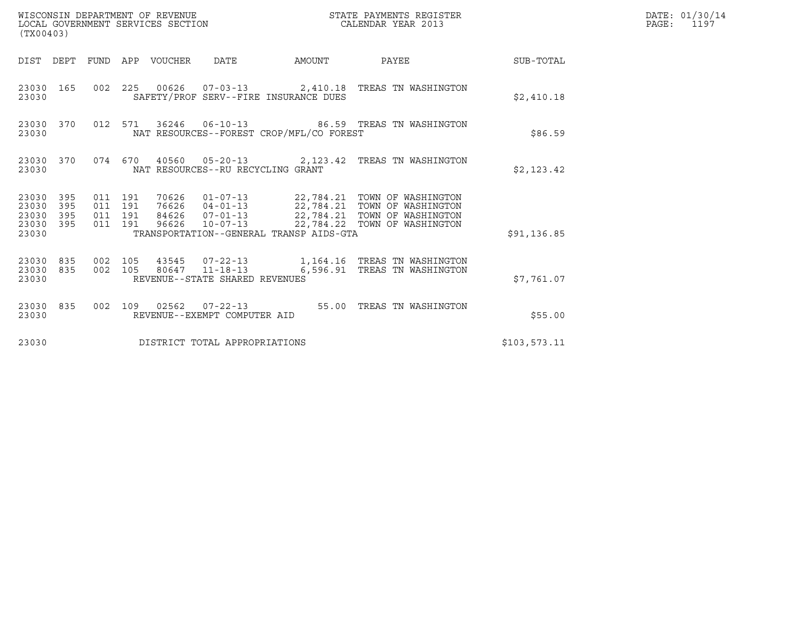| WISCONSIN DEPARTMENT OF REVENUE<br>(TX00403)                    | LOCAL GOVERNMENT SERVICES SECTION                                                                                                                                                                                                                  | STATE PAYMENTS REGISTER<br>CALENDAR YEAR 2013        | DATE: 01/30/14<br>$\mathtt{PAGE:}$<br>1197 |
|-----------------------------------------------------------------|----------------------------------------------------------------------------------------------------------------------------------------------------------------------------------------------------------------------------------------------------|------------------------------------------------------|--------------------------------------------|
|                                                                 | DIST DEPT FUND APP VOUCHER DATE<br>AMOUNT                                                                                                                                                                                                          | <b>SUB-TOTAL</b><br>PAYEE                            |                                            |
| 23030 165<br>23030                                              | 002 225 00626 07-03-13 2,410.18 TREAS TN WASHINGTON<br>SAFETY/PROF SERV--FIRE INSURANCE DUES                                                                                                                                                       | \$2,410.18                                           |                                            |
| 23030 370<br>23030                                              | 012 571 36246 06-10-13 86.59 TREAS TN WASHINGTON<br>NAT RESOURCES--FOREST CROP/MFL/CO FOREST                                                                                                                                                       |                                                      | \$86.59                                    |
| 23030 370<br>23030                                              | 074 670 40560 05-20-13 2,123.42 TREAS TN WASHINGTON<br>NAT RESOURCES--RU RECYCLING GRANT                                                                                                                                                           | \$2,123.42                                           |                                            |
| 23030 395<br>23030<br>395<br>23030<br>395<br>23030 395<br>23030 | 70626  01-07-13  22,784.21  TOWN OF WASHINGTON<br>76626  04-01-13  22,784.21  TOWN OF WASHINGTON<br>011 191<br>011 191<br>84626  07-01-13  22,784.21  TOWN OF WASHINGTON<br>011 191<br>011 191<br>96626<br>TRANSPORTATION--GENERAL TRANSP AIDS-GTA | 10-07-13 22,784.22 TOWN OF WASHINGTON<br>\$91,136.85 |                                            |
| 23030 835<br>23030 835<br>23030                                 | 43545  07-22-13    1,164.16    TREAS TN WASHINGTON<br>002 105<br>80647 11-18-13<br>002 105<br>REVENUE--STATE SHARED REVENUES                                                                                                                       | 6,596.91 TREAS TN WASHINGTON<br>\$7,761.07           |                                            |
| 23030 835<br>23030                                              | 002 109 02562 07-22-13 55.00 TREAS TN WASHINGTON<br>REVENUE--EXEMPT COMPUTER AID                                                                                                                                                                   |                                                      | \$55.00                                    |
| 23030                                                           | DISTRICT TOTAL APPROPRIATIONS                                                                                                                                                                                                                      | \$103,573.11                                         |                                            |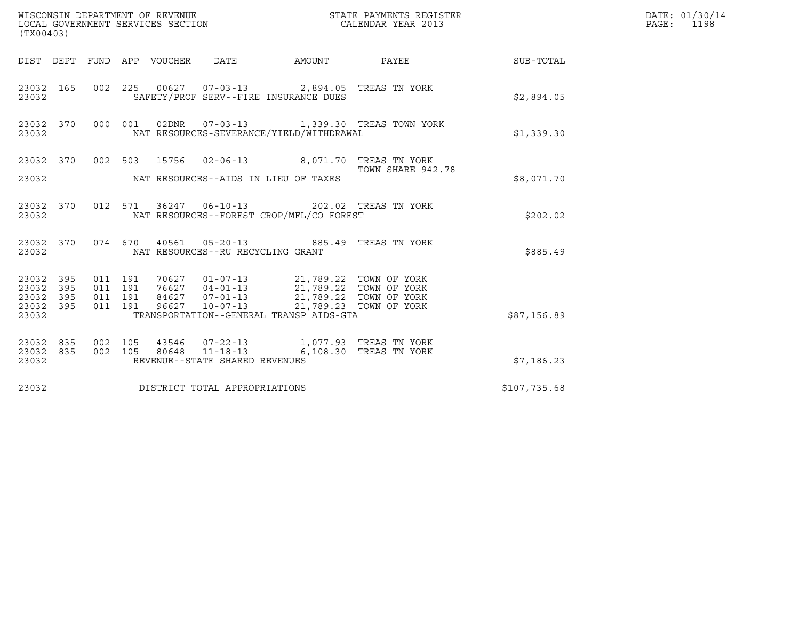| STATE PAYMENTS REGISTER<br>CALENDAR YEAR 2013                                                               | DATE: 01/30/14<br>PAGE: 1198                                                                                                                                                                             |
|-------------------------------------------------------------------------------------------------------------|----------------------------------------------------------------------------------------------------------------------------------------------------------------------------------------------------------|
| DIST DEPT FUND APP VOUCHER DATE AMOUNT PAYEE TO SUB-TOTAL                                                   |                                                                                                                                                                                                          |
| 002 225 00627 07-03-13 2,894.05 TREAS TN YORK<br>SAFETY/PROF SERV--FIRE INSURANCE DUES<br>\$2,894.05        |                                                                                                                                                                                                          |
| 000 001 02DNR  07-03-13  1,339.30 TREAS TOWN YORK<br>NAT RESOURCES-SEVERANCE/YIELD/WITHDRAWAL<br>\$1,339.30 |                                                                                                                                                                                                          |
| 23032 370 002 503 15756 02-06-13 8,071.70 TREAS TN YORK<br>TOWN SHARE 942.78                                |                                                                                                                                                                                                          |
|                                                                                                             |                                                                                                                                                                                                          |
| 012 571 36247 06-10-13 202.02 TREAS TN YORK<br>NAT RESOURCES--FOREST CROP/MFL/CO FOREST<br>\$202.02         |                                                                                                                                                                                                          |
| 074 670 40561 05-20-13 885.49 TREAS TN YORK<br>\$885.49                                                     |                                                                                                                                                                                                          |
|                                                                                                             |                                                                                                                                                                                                          |
| TRANSPORTATION--GENERAL TRANSP AIDS-GTA<br>\$87,156.89                                                      |                                                                                                                                                                                                          |
| 43546  07-22-13  1,077.93  TREAS TN YORK<br>6,108.30 TREAS TN YORK                                          |                                                                                                                                                                                                          |
|                                                                                                             |                                                                                                                                                                                                          |
| \$107,735.68                                                                                                |                                                                                                                                                                                                          |
| NAT RESOURCES--AIDS IN LIEU OF TAXES                                                                        | \$8,071.70<br>70627  01-07-13  21,789.22  TOWN OF YORK<br>76627  04-01-13  21,789.22  TOWN OF YORK<br>84627  07-01-13  21,789.22  TOWN OF YORK<br>96627  10-07-13  21,789.23  TOWN OF YORK<br>\$7,186.23 |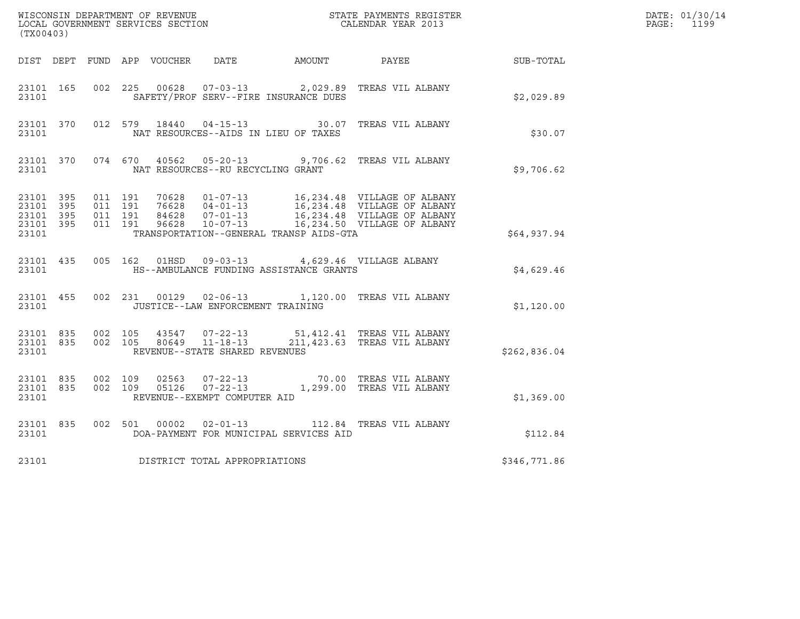| WISCONSIN DEPARTMENT OF REVENUE<br>LOCAL GOVERNMENT SERVICES SECTION THE CONFERNMENT SERVICES SECTION CALENDAR YEAR 2013<br>(TX00403) |  |                                          |  |  |                                         |                                               |                                                                                                                                                                                                             |              | DATE: 01/30/14<br>PAGE: 1199 |
|---------------------------------------------------------------------------------------------------------------------------------------|--|------------------------------------------|--|--|-----------------------------------------|-----------------------------------------------|-------------------------------------------------------------------------------------------------------------------------------------------------------------------------------------------------------------|--------------|------------------------------|
|                                                                                                                                       |  |                                          |  |  |                                         |                                               | DIST DEPT FUND APP VOUCHER DATE AMOUNT PAYEE SUB-TOTAL                                                                                                                                                      |              |                              |
| 23101 165<br>23101                                                                                                                    |  |                                          |  |  |                                         | SAFETY/PROF SERV--FIRE INSURANCE DUES         | 002 225 00628 07-03-13 2,029.89 TREAS VIL ALBANY                                                                                                                                                            | \$2,029.89   |                              |
| 23101                                                                                                                                 |  |                                          |  |  |                                         | NAT RESOURCES--AIDS IN LIEU OF TAXES          | 23101 370 012 579 18440 04-15-13 30.07 TREAS VIL ALBANY                                                                                                                                                     | \$30.07      |                              |
|                                                                                                                                       |  |                                          |  |  | 23101 NAT RESOURCES--RU RECYCLING GRANT |                                               | 23101 370 074 670 40562 05-20-13 9,706.62 TREAS VIL ALBANY                                                                                                                                                  | \$9,706.62   |                              |
| 23101 395<br>23101 395<br>23101 395<br>23101 395<br>23101                                                                             |  | 011 191<br>011 191<br>011 191<br>011 191 |  |  |                                         | TRANSPORTATION--GENERAL TRANSP AIDS-GTA       | 70628  01-07-13  16,234.48  VILLAGE OF ALBANY<br>76628  04-01-13  16,234.48  VILLAGE OF ALBANY<br>84628  07-01-13  16,234.48  VILLAGE OF ALBANY<br>96628  10-07-13  16,234.50  VILLAGE OF ALBANY            | \$64,937.94  |                              |
|                                                                                                                                       |  |                                          |  |  |                                         | 23101 MS--AMBULANCE FUNDING ASSISTANCE GRANTS | 23101 435 005 162 01HSD 09-03-13 4,629.46 VILLAGE ALBANY                                                                                                                                                    | \$4,629.46   |                              |
|                                                                                                                                       |  | 23101                                    |  |  | JUSTICE--LAW ENFORCEMENT TRAINING       |                                               | 23101 455 002 231 00129 02-06-13 1,120.00 TREAS VIL ALBANY                                                                                                                                                  | \$1,120.00   |                              |
| 23101                                                                                                                                 |  |                                          |  |  | REVENUE--STATE SHARED REVENUES          |                                               | $\begin{array}{cccccccc} 23101 & 835 & 002 & 105 & 43547 & 07-22-13 & 51,412.41 & \text{TREAS VIL ALBANY} \\ 23101 & 835 & 002 & 105 & 80649 & 11-18-13 & 211,423.63 & \text{TREAS VIL ALBANY} \end{array}$ | \$262,836.04 |                              |
| 23101 835<br>23101 835<br>23101                                                                                                       |  | 002 109                                  |  |  | REVENUE--EXEMPT COMPUTER AID            |                                               | 002 109 02563 07-22-13 70.00 TREAS VIL ALBANY<br>002 109 05126 07-22-13 1,299.00 TREAS VIL ALBANY                                                                                                           | \$1,369.00   |                              |
| 23101 835<br>23101                                                                                                                    |  |                                          |  |  |                                         | DOA-PAYMENT FOR MUNICIPAL SERVICES AID        | 002 501 00002 02-01-13 112.84 TREAS VIL ALBANY                                                                                                                                                              | \$112.84     |                              |
| 23101                                                                                                                                 |  |                                          |  |  | DISTRICT TOTAL APPROPRIATIONS           |                                               |                                                                                                                                                                                                             | \$346,771.86 |                              |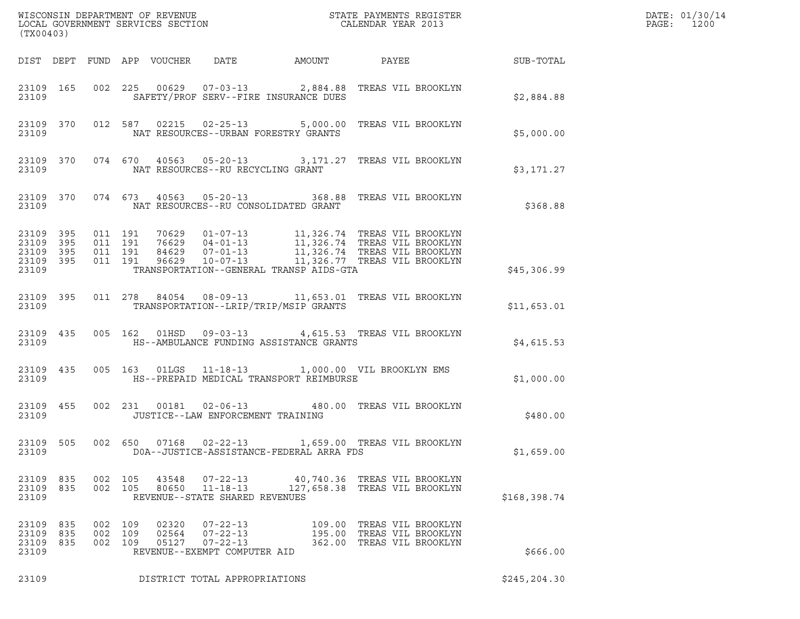| (TX00403)                                             |           |     |                                          |                                                                                                               |                                                                                             |                                                                                                                                                                                                                             |               | DATE: 01/30/14<br>PAGE:<br>1200 |
|-------------------------------------------------------|-----------|-----|------------------------------------------|---------------------------------------------------------------------------------------------------------------|---------------------------------------------------------------------------------------------|-----------------------------------------------------------------------------------------------------------------------------------------------------------------------------------------------------------------------------|---------------|---------------------------------|
|                                                       |           |     | DIST DEPT FUND APP VOUCHER               | DATE                                                                                                          | AMOUNT                                                                                      | PAYEE                                                                                                                                                                                                                       | SUB-TOTAL     |                                 |
| 23109                                                 | 23109 165 |     |                                          |                                                                                                               | SAFETY/PROF SERV--FIRE INSURANCE DUES                                                       | 002 225 00629 07-03-13 2,884.88 TREAS VIL BROOKLYN                                                                                                                                                                          | \$2,884.88    |                                 |
| 23109                                                 | 23109 370 |     |                                          |                                                                                                               | NAT RESOURCES--URBAN FORESTRY GRANTS                                                        | 012 587 02215 02-25-13 5,000.00 TREAS VIL BROOKLYN                                                                                                                                                                          | \$5,000.00    |                                 |
| 23109                                                 | 23109 370 |     |                                          | NAT RESOURCES--RU RECYCLING GRANT                                                                             |                                                                                             | 074 670 40563 05-20-13 3,171.27 TREAS VIL BROOKLYN                                                                                                                                                                          | \$3,171.27    |                                 |
| 23109 370<br>23109                                    |           |     |                                          |                                                                                                               | NAT RESOURCES--RU CONSOLIDATED GRANT                                                        | 074  673  40563  05-20-13  368.88  TREAS VIL BROOKLYN                                                                                                                                                                       | \$368.88      |                                 |
| 23109 395<br>23109<br>23109 395<br>23109 395<br>23109 | 395       |     | 011 191<br>011 191<br>011 191<br>011 191 |                                                                                                               | TRANSPORTATION--GENERAL TRANSP AIDS-GTA                                                     | 70629  01-07-13   11,326.74   TREAS    VIL BROOKLYN<br>76629  04-01-13   11,326.74   TREAS    VIL BROOKLYN<br>84629  07-01-13   11,326.74   TREAS    VIL BROOKLYN<br>96629    10-07-13    11,326.77   TREAS    VIL BROOKLYN | \$45,306.99   |                                 |
| 23109                                                 | 23109 395 |     | 011 278                                  |                                                                                                               | TRANSPORTATION--LRIP/TRIP/MSIP GRANTS                                                       | 84054  08-09-13   11,653.01   TREAS VIL BROOKLYN                                                                                                                                                                            | \$11,653.01   |                                 |
| 23109                                                 | 23109 435 |     |                                          |                                                                                                               | HS--AMBULANCE FUNDING ASSISTANCE GRANTS                                                     | 005 162 01HSD 09-03-13 4,615.53 TREAS VIL BROOKLYN                                                                                                                                                                          | \$4,615.53    |                                 |
| 23109                                                 | 23109 435 |     |                                          |                                                                                                               | 005 163 01LGS 11-18-13 1,000.00 VIL BROOKLYN EMS<br>HS--PREPAID MEDICAL TRANSPORT REIMBURSE |                                                                                                                                                                                                                             | \$1,000.00    |                                 |
| 23109                                                 | 23109 455 |     |                                          | JUSTICE--LAW ENFORCEMENT TRAINING                                                                             |                                                                                             | 002 231 00181 02-06-13 480.00 TREAS VIL BROOKLYN                                                                                                                                                                            | \$480.00      |                                 |
| 23109<br>23109                                        | 505       |     | 002 650                                  |                                                                                                               | DOA--JUSTICE-ASSISTANCE-FEDERAL ARRA FDS                                                    |                                                                                                                                                                                                                             | \$1,659.00    |                                 |
| 23109 835<br>23109 835<br>23109                       |           |     | 002 105<br>002 105                       | 43548<br>$07 - 22 - 13$<br>80650<br>$11 - 18 - 13$<br>REVENUE--STATE SHARED REVENUES                          |                                                                                             | 40,740.36 TREAS VIL BROOKLYN<br>127,658.38 TREAS VIL BROOKLYN                                                                                                                                                               | \$168,398.74  |                                 |
| 23109 835<br>23109<br>23109 835<br>23109              | 835       | 002 | 002 109<br>109<br>002 109                | $07 - 22 - 13$<br>02320<br>02564<br>$07 - 22 - 13$<br>05127<br>$07 - 22 - 13$<br>REVENUE--EXEMPT COMPUTER AID |                                                                                             | 109.00 TREAS VIL BROOKLYN<br>195.00 TREAS VIL BROOKLYN<br>362.00 TREAS VIL BROOKLYN                                                                                                                                         | \$666.00      |                                 |
| 23109                                                 |           |     |                                          | DISTRICT TOTAL APPROPRIATIONS                                                                                 |                                                                                             |                                                                                                                                                                                                                             | \$245, 204.30 |                                 |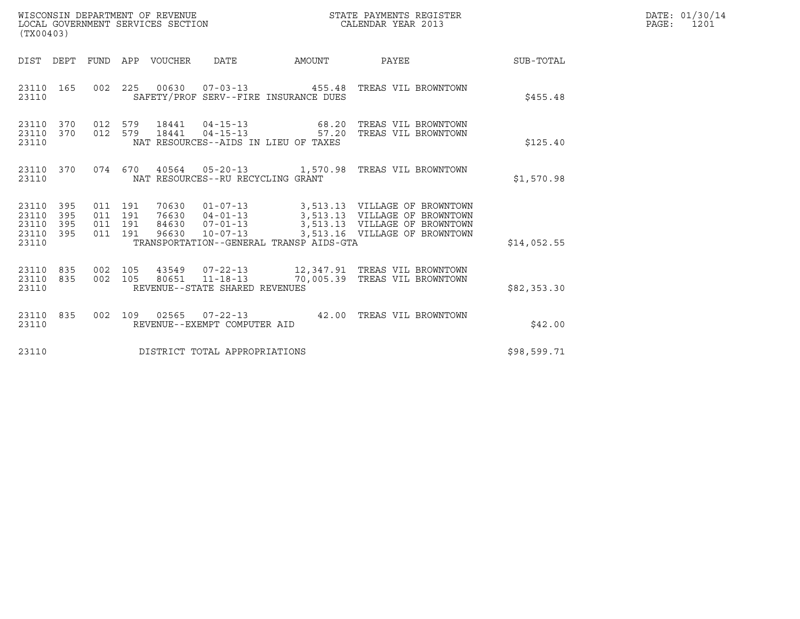| WISCONSIN DEPARTMENT OF REVENUE   | STATE PAYMENTS REGISTER | DATE: 01/30/14 |
|-----------------------------------|-------------------------|----------------|
| LOCAL GOVERNMENT SERVICES SECTION | CALENDAR YEAR 2013      | PAGE :<br>1201 |

| (TX00403)                                             |     |                               |         |                                 |                                   |                                         | WISCONSIN DEPARTMENT OF REVENUE ${\small \begin{array}{ll} \texttt{STATE} \texttt{ PAYMENTS} \texttt{ REGISTER} \\ \texttt{COLENDAR} \texttt{YEAR} \texttt{2013} \end{array}}$                           |             | DATE: 01/30/14<br>PAGE: 1201 |
|-------------------------------------------------------|-----|-------------------------------|---------|---------------------------------|-----------------------------------|-----------------------------------------|----------------------------------------------------------------------------------------------------------------------------------------------------------------------------------------------------------|-------------|------------------------------|
|                                                       |     |                               |         | DIST DEPT FUND APP VOUCHER DATE |                                   | <b>EXAMPLE THE PROPERTY OF A STATE</b>  | <b>PAYEE</b>                                                                                                                                                                                             | SUB-TOTAL   |                              |
| 23110 165<br>23110                                    |     |                               |         |                                 |                                   | SAFETY/PROF SERV--FIRE INSURANCE DUES   | 002 225 00630 07-03-13 455.48 TREAS VIL BROWNTOWN                                                                                                                                                        | \$455.48    |                              |
| 23110 370<br>23110 370<br>23110                       |     |                               |         |                                 |                                   | NAT RESOURCES--AIDS IN LIEU OF TAXES    | 012 579 18441 04-15-13 68.20 TREAS VIL BROWNTOWN<br>012 579 18441 04-15-13 57.20 TREAS VIL BROWNTOWN                                                                                                     | \$125.40    |                              |
| 23110 370<br>23110                                    |     |                               |         |                                 | NAT RESOURCES--RU RECYCLING GRANT |                                         | 074 670 40564 05-20-13 1,570.98 TREAS VIL BROWNTOWN                                                                                                                                                      | \$1,570.98  |                              |
| 23110 395<br>23110<br>23110 395<br>23110 395<br>23110 | 395 | 011 191<br>011 191<br>011 191 | 011 191 |                                 |                                   | TRANSPORTATION--GENERAL TRANSP AIDS-GTA | 70630  01-07-13  3,513.13  VILLAGE OF BROWNTOWN<br>76630  04-01-13  3,513.13  VILLAGE OF BROWNTOWN<br>84630  07-01-13  3,513.13  VILLAGE OF BROWNTOWN<br>96630  10-07-13  3,513.16  VILLAGE OF BROWNTOWN | \$14,052.55 |                              |
| 23110 835<br>23110 835<br>23110                       |     |                               |         |                                 | REVENUE--STATE SHARED REVENUES    |                                         | 002 105 43549 07-22-13 12,347.91 TREAS VIL BROWNTOWN<br>002 105 80651 11-18-13 70,005.39 TREAS VIL BROWNTOWN                                                                                             | \$82,353.30 |                              |
| 23110 835<br>23110                                    |     |                               |         |                                 | REVENUE--EXEMPT COMPUTER AID      |                                         | 002 109 02565 07-22-13 42.00 TREAS VIL BROWNTOWN                                                                                                                                                         | \$42.00     |                              |
| 23110                                                 |     |                               |         |                                 | DISTRICT TOTAL APPROPRIATIONS     |                                         |                                                                                                                                                                                                          | \$98,599.71 |                              |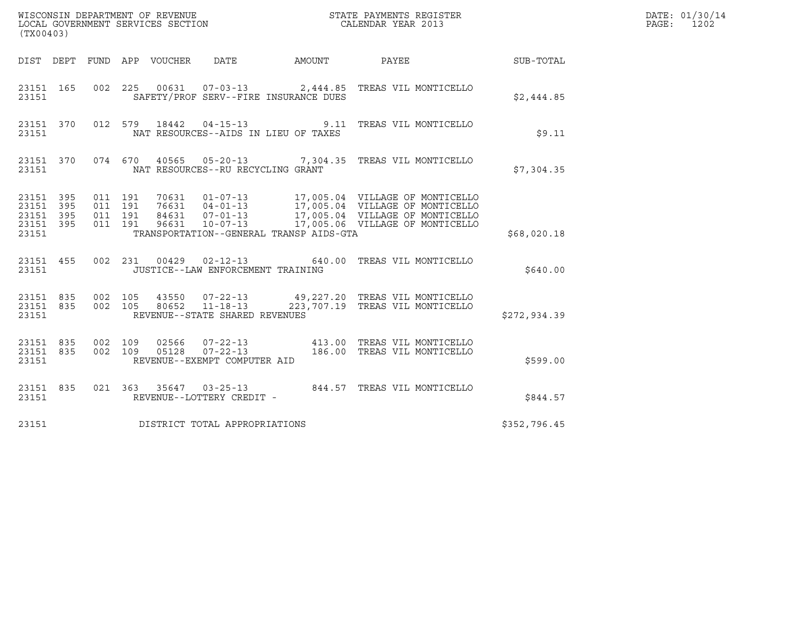| (TX00403)                                             |           |                               |         |                            |                                                                    |                                                                                                                                                                                                                  |              | DATE: 01/30/14<br>PAGE:<br>1202 |
|-------------------------------------------------------|-----------|-------------------------------|---------|----------------------------|--------------------------------------------------------------------|------------------------------------------------------------------------------------------------------------------------------------------------------------------------------------------------------------------|--------------|---------------------------------|
|                                                       |           |                               |         | DIST DEPT FUND APP VOUCHER | DATE                                                               | AMOUNT PAYEE                                                                                                                                                                                                     | SUB-TOTAL    |                                 |
| 23151 165<br>23151                                    |           |                               |         |                            | SAFETY/PROF SERV--FIRE INSURANCE DUES                              | 002  225  00631  07-03-13  2,444.85  TREAS VIL MONTICELLO                                                                                                                                                        | \$2,444.85   |                                 |
| 23151                                                 | 23151 370 |                               |         |                            | NAT RESOURCES--AIDS IN LIEU OF TAXES                               | 012 579 18442 04-15-13 9.11 TREAS VIL MONTICELLO                                                                                                                                                                 | \$9.11       |                                 |
| 23151                                                 |           |                               |         |                            | NAT RESOURCES--RU RECYCLING GRANT                                  | 23151 370 074 670 40565 05-20-13 7,304.35 TREAS VIL MONTICELLO                                                                                                                                                   | \$7,304.35   |                                 |
| 23151 395<br>23151 395<br>23151<br>23151 395<br>23151 | 395       | 011 191<br>011 191<br>011 191 | 011 191 |                            | TRANSPORTATION--GENERAL TRANSP AIDS-GTA                            | 70631  01-07-13  17,005.04  VILLAGE OF MONTICELLO<br>76631  04-01-13  17,005.04  VILLAGE OF MONTICELLO<br>84631  07-01-13  17,005.04  VILLAGE OF MONTICELLO<br>96631  10-07-13  17,005.06  VILLAGE OF MONTICELLO | \$68,020.18  |                                 |
| 23151 455<br>23151                                    |           |                               |         |                            | 002 231 00429 02-12-13<br>JUSTICE--LAW ENFORCEMENT TRAINING        | 640.00 TREAS VIL MONTICELLO                                                                                                                                                                                      | \$640.00     |                                 |
| 23151 835<br>23151 835<br>23151                       |           | 002 105                       | 002 105 |                            | 43550 07-22-13<br>80652 11-18-13<br>REVENUE--STATE SHARED REVENUES | 49,227.20 TREAS VIL MONTICELLO<br>223,707.19 TREAS VIL MONTICELLO                                                                                                                                                | \$272,934.39 |                                 |
| 23151 835<br>23151 835<br>23151                       |           | 002 109                       | 002 109 | 02566<br>05128             | REVENUE--EXEMPT COMPUTER AID                                       | 07-22-13   413.00 TREAS VIL MONTICELLO<br>07-22-13   186.00 TREAS VIL MONTICELLO<br>186.00 TREAS VIL MONTICELLO                                                                                                  | \$599.00     |                                 |
| 23151 835<br>23151                                    |           |                               |         |                            | REVENUE--LOTTERY CREDIT -                                          | 021  363  35647  03-25-13  844.57  TREAS VIL MONTICELLO                                                                                                                                                          | \$844.57     |                                 |
| 23151                                                 |           |                               |         |                            | DISTRICT TOTAL APPROPRIATIONS                                      |                                                                                                                                                                                                                  | \$352,796.45 |                                 |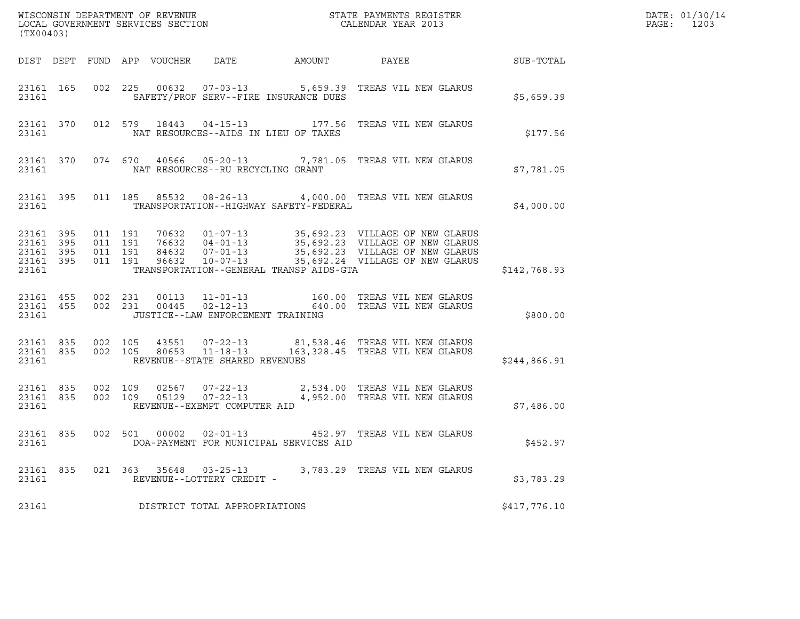| (TX00403)                                                 |                               |         |                                                     |                                         |                                                                                                                                                                                                                    |              | DATE: 01/30/14<br>PAGE:<br>1203 |
|-----------------------------------------------------------|-------------------------------|---------|-----------------------------------------------------|-----------------------------------------|--------------------------------------------------------------------------------------------------------------------------------------------------------------------------------------------------------------------|--------------|---------------------------------|
|                                                           |                               |         |                                                     |                                         |                                                                                                                                                                                                                    |              |                                 |
| 23161                                                     |                               |         |                                                     | SAFETY/PROF SERV--FIRE INSURANCE DUES   | 23161 165 002 225 00632 07-03-13 5,659.39 TREAS VIL NEW GLARUS                                                                                                                                                     | \$5,659.39   |                                 |
| 23161                                                     |                               |         |                                                     | NAT RESOURCES--AIDS IN LIEU OF TAXES    | 23161 370 012 579 18443 04-15-13 177.56 TREAS VIL NEW GLARUS                                                                                                                                                       | \$177.56     |                                 |
|                                                           |                               |         | 23161 NAT RESOURCES--RU RECYCLING GRANT             |                                         | 23161 370 074 670 40566 05-20-13 7,781.05 TREAS VIL NEW GLARUS                                                                                                                                                     | \$7,781.05   |                                 |
| 23161                                                     |                               |         |                                                     | TRANSPORTATION--HIGHWAY SAFETY-FEDERAL  | 23161 395 011 185 85532 08-26-13 4,000.00 TREAS VIL NEW GLARUS                                                                                                                                                     | \$4,000.00   |                                 |
| 23161 395<br>23161 395<br>23161 395<br>23161 395<br>23161 | 011 191<br>011 191<br>011 191 | 011 191 |                                                     | TRANSPORTATION--GENERAL TRANSP AIDS-GTA | 70632 01-07-13 35,692.23 VILLAGE OF NEW GLARUS<br>76632 04-01-13 35,692.23 VILLAGE OF NEW GLARUS<br>84632 07-01-13 35,692.23 VILLAGE OF NEW GLARUS<br>96632 10-07-13 35,692.24 VILLAGE OF NEW GLARUS               | \$142,768.93 |                                 |
| 23161 455<br>23161 455<br>23161                           |                               |         | JUSTICE--LAW ENFORCEMENT TRAINING                   |                                         | 002 231 00113 11-01-13 160.00 TREAS VIL NEW GLARUS<br>002 231 00445 02-12-13 640.00 TREAS VIL NEW GLARUS                                                                                                           | \$800.00     |                                 |
| 23161 835 002 105<br>23161 835                            |                               | 002 105 | 23161 REVENUE--STATE SHARED REVENUES                |                                         | 43551   07-22-13   81,538.46   TREAS   VIL NEW GLARUS<br>80653   11-18-13   163,328.45   TREAS   VIL NEW GLARUS                                                                                                    | \$244,866.91 |                                 |
| 23161                                                     |                               |         | REVENUE--EXEMPT COMPUTER AID                        |                                         | $\begin{array}{cccccc} 23161 & 835 & 002 & 109 & 02567 & 07-22-13 & & 2,534.00 & \text{TREAS VII NEW GLARUS} \\ 23161 & 835 & 002 & 109 & 05129 & 07-22-13 & & 4,952.00 & \text{TREAS VII NEW GLARUS} \end{array}$ | \$7,486.00   |                                 |
| 23161                                                     |                               |         |                                                     | DOA-PAYMENT FOR MUNICIPAL SERVICES AID  | 23161 835 002 501 00002 02-01-13 452.97 TREAS VIL NEW GLARUS                                                                                                                                                       | \$452.97     |                                 |
| 23161 835<br>23161                                        |                               |         | 021 363 35648 03-25-13<br>REVENUE--LOTTERY CREDIT - |                                         | 3,783.29 TREAS VIL NEW GLARUS                                                                                                                                                                                      | \$3,783.29   |                                 |
| 23161                                                     |                               |         | DISTRICT TOTAL APPROPRIATIONS                       |                                         |                                                                                                                                                                                                                    | \$417,776.10 |                                 |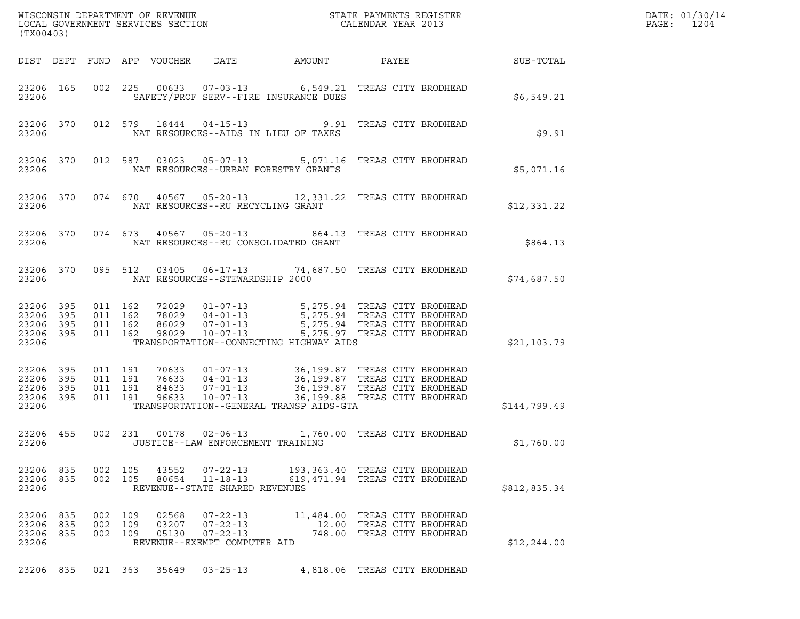| (TX00403)                                             |            |                    |                                          |                            |                                                                                    |                                                                                                                                                                                                                                   |                                                                                          |                  | DATE: 01/30/14<br>$\mathtt{PAGE:}$<br>1204 |
|-------------------------------------------------------|------------|--------------------|------------------------------------------|----------------------------|------------------------------------------------------------------------------------|-----------------------------------------------------------------------------------------------------------------------------------------------------------------------------------------------------------------------------------|------------------------------------------------------------------------------------------|------------------|--------------------------------------------|
|                                                       |            |                    |                                          | DIST DEPT FUND APP VOUCHER | DATE                                                                               | AMOUNT                                                                                                                                                                                                                            | PAYEE                                                                                    | <b>SUB-TOTAL</b> |                                            |
| 23206                                                 | 23206 165  |                    |                                          |                            |                                                                                    | 002 225 00633 07-03-13 6,549.21 TREAS CITY BRODHEAD<br>SAFETY/PROF SERV--FIRE INSURANCE DUES                                                                                                                                      |                                                                                          | \$6,549.21       |                                            |
| 23206                                                 | 23206 370  |                    |                                          |                            |                                                                                    | 012 579 18444 04-15-13 9.91 TREAS CITY BRODHEAD<br>NAT RESOURCES--AIDS IN LIEU OF TAXES                                                                                                                                           |                                                                                          | \$9.91           |                                            |
| 23206                                                 | 23206 370  |                    |                                          |                            |                                                                                    | 012 587 03023 05-07-13 5,071.16 TREAS CITY BRODHEAD<br>NAT RESOURCES--URBAN FORESTRY GRANTS                                                                                                                                       |                                                                                          | \$5,071.16       |                                            |
| 23206                                                 | 23206 370  |                    |                                          |                            |                                                                                    | 074 670 40567 05-20-13 12,331.22 TREAS CITY BRODHEAD<br>NAT RESOURCES--RU RECYCLING GRANT                                                                                                                                         |                                                                                          | \$12,331.22      |                                            |
| 23206                                                 | 23206 370  |                    |                                          |                            |                                                                                    | 074 673 40567 05-20-13 864.13 TREAS CITY BRODHEAD<br>NAT RESOURCES--RU CONSOLIDATED GRANT                                                                                                                                         |                                                                                          | \$864.13         |                                            |
| 23206                                                 | 23206 370  |                    | 095 512                                  |                            | NAT RESOURCES--STEWARDSHIP 2000                                                    | 03405  06-17-13  74,687.50  TREAS CITY BRODHEAD                                                                                                                                                                                   |                                                                                          | \$74,687.50      |                                            |
| 23206 395<br>23206<br>23206 395<br>23206 395<br>23206 | 395        |                    | 011 162<br>011 162<br>011 162<br>011 162 | 98029                      | 86029 07-01-13<br>10-07-13                                                         | TRANSPORTATION--CONNECTING HIGHWAY AIDS                                                                                                                                                                                           | 5,275.94 TREAS CITY BRODHEAD<br>5,275.97 TREAS CITY BRODHEAD                             | \$21,103.79      |                                            |
| 23206<br>23206 395<br>23206<br>23206 395<br>23206     | 395<br>395 | 011 191            | 011 191<br>011 191<br>011 191            | 96633                      |                                                                                    | 70633 01-07-13 36,199.87 TREAS CITY BRODHEAD<br>76633 04-01-13 36,199.87 TREAS CITY BRODHEAD<br>84633 07-01-13 36,199.87 TREAS CITY BRODHEAD<br>10-07-13 36,199.88 TREAS CITY BRODHEAD<br>TRANSPORTATION--GENERAL TRANSP AIDS-GTA |                                                                                          | \$144,799.49     |                                            |
| 23206 455<br>23206                                    |            |                    | 002 231                                  |                            | 00178 02-06-13                                                                     | JUSTICE--LAW ENFORCEMENT TRAINING                                                                                                                                                                                                 | 1,760.00 TREAS CITY BRODHEAD                                                             | \$1,760.00       |                                            |
| 23206 835<br>23206                                    | 23206 835  |                    | 002 105<br>002 105                       |                            | 43552 07-22-13<br>80654 11-18-13<br>REVENUE--STATE SHARED REVENUES                 | 193,363.40 TREAS CITY BRODHEAD<br>619,471.94 TREAS CITY BRODHEAD                                                                                                                                                                  |                                                                                          | \$812,835.34     |                                            |
| 23206 835<br>23206 835<br>23206 835<br>23206          |            | 002 109<br>002 109 | 002 109                                  | 02568<br>03207<br>05130    | $07 - 22 - 13$<br>$07 - 22 - 13$<br>$07 - 22 - 13$<br>REVENUE--EXEMPT COMPUTER AID |                                                                                                                                                                                                                                   | 11,484.00 TREAS CITY BRODHEAD<br>12.00 TREAS CITY BRODHEAD<br>748.00 TREAS CITY BRODHEAD | \$12, 244.00     |                                            |
| 23206 835                                             |            |                    | 021 363                                  | 35649                      | $03 - 25 - 13$                                                                     |                                                                                                                                                                                                                                   | 4,818.06 TREAS CITY BRODHEAD                                                             |                  |                                            |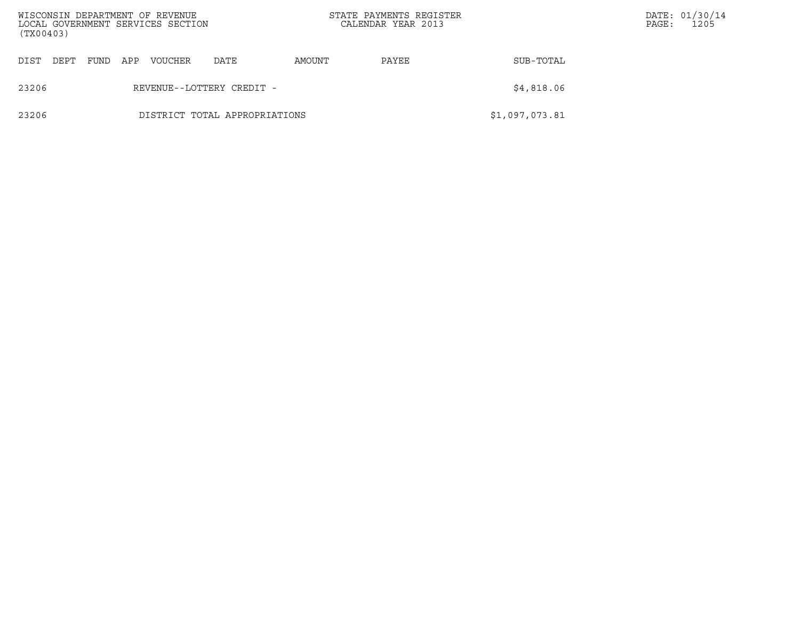| (TX00403) |      |      |     | WISCONSIN DEPARTMENT OF REVENUE<br>LOCAL GOVERNMENT SERVICES SECTION |                               |        | STATE PAYMENTS REGISTER<br>CALENDAR YEAR 2013 |                | PAGE: | DATE: 01/30/14<br>1205 |
|-----------|------|------|-----|----------------------------------------------------------------------|-------------------------------|--------|-----------------------------------------------|----------------|-------|------------------------|
| DIST      | DEPT | FUND | APP | <b>VOUCHER</b>                                                       | DATE                          | AMOUNT | PAYEE                                         | SUB-TOTAL      |       |                        |
| 23206     |      |      |     |                                                                      | REVENUE--LOTTERY CREDIT -     |        |                                               | \$4,818.06     |       |                        |
| 23206     |      |      |     |                                                                      | DISTRICT TOTAL APPROPRIATIONS |        |                                               | \$1,097,073.81 |       |                        |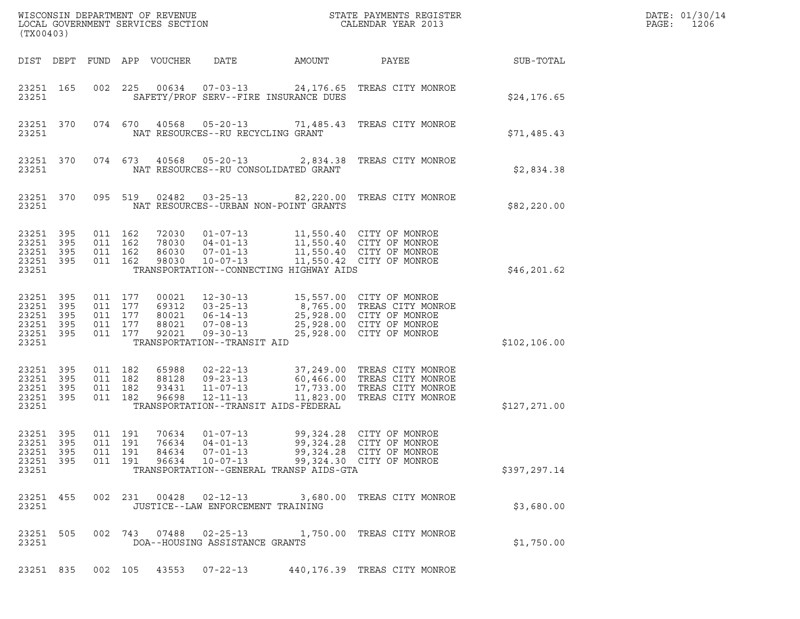| (TX00403)                                                              |     |                    |                                          | WISCONSIN DEPARTMENT OF REVENUE<br>LOCAL GOVERNMENT SERVICES SECTION |                                                                                                                       |                                                   | STATE PAYMENTS REGISTER<br>CALENDAR YEAR 2013                                                                                                |               | DATE: 01/30/14<br>PAGE:<br>1206 |
|------------------------------------------------------------------------|-----|--------------------|------------------------------------------|----------------------------------------------------------------------|-----------------------------------------------------------------------------------------------------------------------|---------------------------------------------------|----------------------------------------------------------------------------------------------------------------------------------------------|---------------|---------------------------------|
| DIST DEPT                                                              |     |                    |                                          | FUND APP VOUCHER                                                     | DATE                                                                                                                  | AMOUNT                                            | PAYEE                                                                                                                                        | SUB-TOTAL     |                                 |
| 23251 165<br>23251                                                     |     |                    | 002 225                                  | 00634                                                                | $07 - 03 - 13$                                                                                                        | SAFETY/PROF SERV--FIRE INSURANCE DUES             | 24,176.65 TREAS CITY MONROE                                                                                                                  | \$24, 176.65  |                                 |
| 23251 370<br>23251                                                     |     |                    | 074 670                                  |                                                                      | NAT RESOURCES--RU RECYCLING GRANT                                                                                     |                                                   | 40568  05-20-13  71,485.43  TREAS CITY MONROE                                                                                                | \$71,485.43   |                                 |
| 23251 370<br>23251                                                     |     |                    | 074 673                                  |                                                                      | 40568 05-20-13                                                                                                        | NAT RESOURCES--RU CONSOLIDATED GRANT              | 2,834.38 TREAS CITY MONROE                                                                                                                   | \$2,834.38    |                                 |
| 23251 370<br>23251                                                     |     |                    | 095 519                                  | 02482                                                                | $03 - 25 - 13$                                                                                                        | NAT RESOURCES--URBAN NON-POINT GRANTS             | 82,220.00 TREAS CITY MONROE                                                                                                                  | \$82,220.00   |                                 |
| 23251 395<br>23251<br>23251 395<br>23251 395<br>23251                  | 395 | 011 162<br>011 162 | 011 162<br>011 162                       | 72030<br>78030<br>86030<br>98030                                     | $01 - 07 - 13$<br>$04 - 01 - 13$<br>$07 - 01 - 13$<br>$10 - 07 - 13$                                                  | TRANSPORTATION--CONNECTING HIGHWAY AIDS           | 11,550.40 CITY OF MONROE<br>11,550.40   CITY OF MONROE<br>11,550 40   CITY OF MONROE<br>11,550.40 CITY OF MONROE<br>11,550.42 CITY OF MONROE | \$46,201.62   |                                 |
| 23251 395<br>23251 395<br>23251 395<br>23251 395<br>23251 395<br>23251 |     | 011 177            | 011 177<br>011 177<br>011 177<br>011 177 | 00021<br>69312<br>80021<br>88021<br>92021                            | $12 - 30 - 13$<br>$03 - 25 - 13$<br>$06 - 14 - 13$<br>$07 - 08 - 13$<br>$09 - 30 - 13$<br>TRANSPORTATION--TRANSIT AID |                                                   | 15,557.00 CITY OF MONROE<br>8,765.00 TREAS CITY MONROE<br>25,928.00 CITY OF MONROE<br>25,928.00 CITY OF MONROE<br>25,928.00 CITY OF MONROE   | \$102, 106.00 |                                 |
| 23251 395<br>23251 395<br>23251 395<br>23251 395<br>23251              |     | 011 182            | 011 182<br>011 182<br>011 182            | 65988<br>88128<br>93431<br>96698                                     | $02 - 22 - 13$<br>$09 - 23 - 13$<br>$11 - 07 - 13$<br>$12 - 11 - 13$                                                  | 17,733.00<br>TRANSPORTATION--TRANSIT AIDS-FEDERAL | 37,249.00 TREAS CITY MONROE<br>60,466.00 TREAS CITY MONROE<br>TREAS CITY MONROE<br>11,823.00 TREAS CITY MONROE                               | \$127,271.00  |                                 |
| 23251 395<br>23251 395<br>23251 395<br>23251 395<br>23251              |     |                    | 011 191<br>011 191<br>011 191<br>011 191 | 70634<br>84634<br>96634                                              | $01 - 07 - 13$<br>76634 04-01-13<br>$07 - 01 - 13$<br>$10 - 07 - 13$                                                  | TRANSPORTATION--GENERAL TRANSP AIDS-GTA           | 99,324.28 CITY OF MONROE<br>99,324.28 CITY OF MONROE<br>99,324.28 CITY OF MONROE<br>99,324.30 CITY OF MONROE                                 | \$397,297.14  |                                 |
| 23251 455<br>23251                                                     |     |                    |                                          |                                                                      | 002 231 00428 02-12-13<br>JUSTICE--LAW ENFORCEMENT TRAINING                                                           |                                                   | 3,680.00 TREAS CITY MONROE                                                                                                                   | \$3,680.00    |                                 |
| 23251 505<br>23251                                                     |     |                    |                                          |                                                                      | DOA--HOUSING ASSISTANCE GRANTS                                                                                        |                                                   | 002 743 07488 02-25-13 1,750.00 TREAS CITY MONROE                                                                                            | \$1,750.00    |                                 |
| 23251 835                                                              |     |                    | 002 105                                  | 43553                                                                | $07 - 22 - 13$                                                                                                        |                                                   | 440,176.39 TREAS CITY MONROE                                                                                                                 |               |                                 |